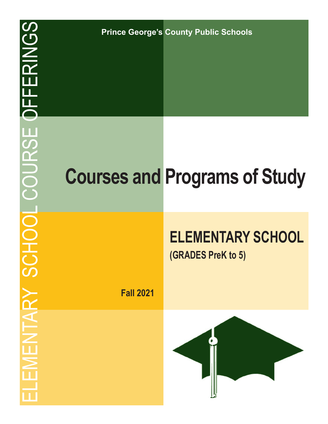**Prince George's County Public Schools**

# **Courses and Programs of Study**

# **ELEMENTARY SCHOOL**

**(GRADES PreK to 5)**

**Fall 2021**

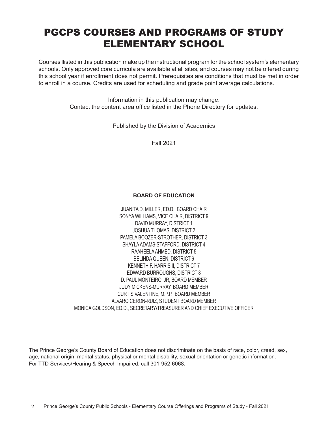## PGCPS COURSES AND PROGRAMS OF STUDY ELEMENTARY SCHOOL

Courses llisted in this publication make up the instructional program for the school system's elementary schools. Only approved core curricula are available at all sites, and courses may not be offered during this school year if enrollment does not permit. Prerequisites are conditions that must be met in order to enroll in a course. Credits are used for scheduling and grade point average calculations.

> Information in this publication may change. Contact the content area office listed in the Phone Directory for updates.

> > Published by the Division of Academics

Fall 2021

#### **BOARD OF EDUCATION**

JUANITA D. MILLER, ED.D., BOARD CHAIR SONYA WILLIAMS, VICE CHAIR, DISTRICT 9 DAVID MURRAY, DISTRICT 1 JOSHUA THOMAS, DISTRICT 2 PAMELA BOOZER-STROTHER, DISTRICT 3 SHAYLA ADAMS-STAFFORD, DISTRICT 4 RAAHEELA AHMED, DISTRICT 5 BELINDA QUEEN, DISTRICT 6 KENNETH F. HARRIS II, DISTRICT 7 EDWARD BURROUGHS, DISTRICT 8 D. PAUL MONTEIRO, JR, BOARD MEMBER JUDY MICKENS-MURRAY, BOARD MEMBER CURTIS VALENTINE, M.P.P., BOARD MEMBER ALVARO CERON-RUIZ, STUDENT BOARD MEMBER MONICA GOLDSON, ED.D., SECRETARY/TREASURER AND CHIEF EXECUTIVE OFFICER

The Prince George's County Board of Education does not discriminate on the basis of race, color, creed, sex, age, national origin, marital status, physical or mental disability, sexual orientation or genetic information. For TTD Services/Hearing & Speech Impaired, call 301-952-6068.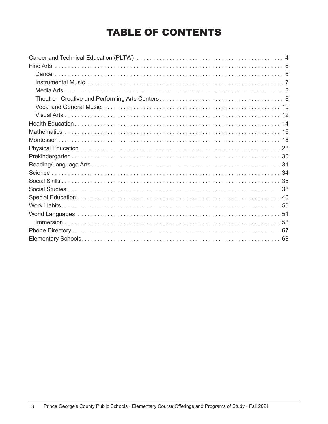## TABLE OF CONTENTS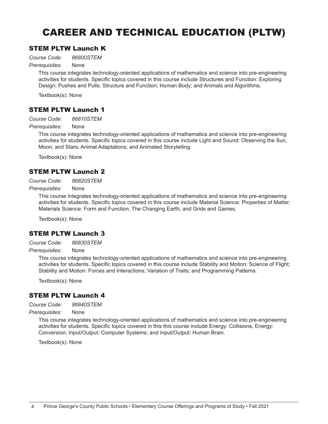## CAREER AND TECHNICAL EDUCATION (PLTW)

## STEM PLTW Launch K

*Course Code: 86800STEM*

*Prerequisites:* None

This course integrates technology-oriented applications of mathematics and science into pre-engineering activities for students. Specific topics covered in this course include Structures and Function: Exploring Design; Pushes and Pulls; Structure and Function; Human Body; and Animals and Algorithms.

Textbook(s): None

## STEM PLTW Launch 1

*Course Code: 86810STEM*

*Prerequisites:* None

This course integrates technology-oriented applications of mathematics and science into pre-engineering activities for students. Specific topics covered in this course include Light and Sound: Observing the Sun, Moon, and Stars; Animal Adaptations; and Animated Storytelling.

Textbook(s): None

## STEM PLTW Launch 2

*Course Code: 86820STEM*

*Prerequisites:* None

This course integrates technology-oriented applications of mathematics and science into pre-engineering activities for students. Specific topics covered in this course include Material Science: Properties of Matter; Materials Science: Form and Function; The Changing Earth; and Grids and Games.

Textbook(s): None

## STEM PLTW Launch 3

*Course Code: 86830STEM*

*Prerequisites:* None

This course integrates technology-oriented applications of mathematics and science into pre-engineering activities for students. Specific topics covered in this course include Stability and Motion: Science of Flight; Stability and Motion: Forces and Interactions; Variation of Traits; and Programming Patterns.

Textbook(s): None

## STEM PLTW Launch 4

*Course Code: 86840STEM*

*Prerequisites:* None

This course integrates technology-oriented applications of mathematics and science into pre-engineering activities for students. Specific topics covered in this this course include Energy: Collisions; Energy: Conversion; Input/Output: Computer Systems; and Input/Output: Human Brain.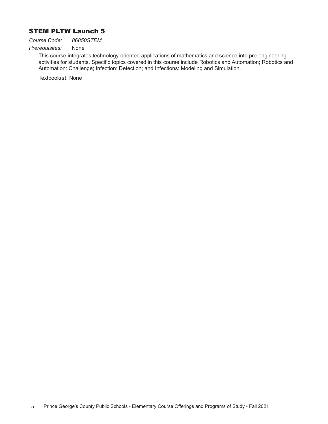## STEM PLTW Launch 5

*Course Code: 86850STEM*

#### *Prerequisites:* None

This course integrates technology-oriented applications of mathematics and science into pre-engineering activities for students. Specific topics covered in this course include Robotics and Automation; Robotics and Automation: Challenge; Infection: Detection; and Infections: Modeling and Simulation.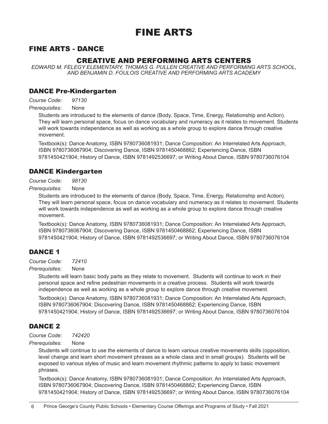## FINE ARTS

## FINE ARTS - DANCE

## CREATIVE AND PERFORMING ARTS CENTERS

*EDWARD M. FELEGY ELEMENTARY, THOMAS G. PULLEN CREATIVE AND PERFORMING ARTS SCHOOL, AND BENJAMIN D. FOULOIS CREATIVE AND PERFORMING ARTS ACADEMY*

### DANCE Pre-Kindergarten

*Course Code: 97130*

*Prerequisites:* None

Students are introduced to the elements of dance (Body, Space, Time, Energy, Relationship and Action). They will learn personal space, focus on dance vocabulary and numeracy as it relates to movement. Students will work towards independence as well as working as a whole group to explore dance through creative movement.

Textbook(s): Dance Anatomy, ISBN 9780736081931; Dance Composition: An Interrelated Arts Approach, ISBN 9780736067904; Discovering Dance, ISBN 9781450468862; Experiencing Dance, ISBN 9781450421904; History of Dance, ISBN 9781492536697; or Writing About Dance, ISBN 9780736076104

## DANCE Kindergarten

*Course Code: 98130*

*Prerequisites:* None

Students are introduced to the elements of dance (Body, Space, Time, Energy, Relationship and Action). They will learn personal space, focus on dance vocabulary and numeracy as it relates to movement. Students will work towards independence as well as working as a whole group to explore dance through creative movement.

Textbook(s): Dance Anatomy, ISBN 9780736081931; Dance Composition: An Interrelated Arts Approach, ISBN 9780736067904; Discovering Dance, ISBN 9781450468862; Experiencing Dance, ISBN 9781450421904; History of Dance, ISBN 9781492536697; or Writing About Dance, ISBN 9780736076104

## DANCE 1

*Course Code: 72410*

*Prerequisites:* None

Students will learn basic body parts as they relate to movement. Students will continue to work in their personal space and refine pedestrian movements in a creative process. Students will work towards independence as well as working as a whole group to explore dance through creative movement.

Textbook(s): Dance Anatomy, ISBN 9780736081931; Dance Composition: An Interrelated Arts Approach, ISBN 9780736067904; Discovering Dance, ISBN 9781450468862; Experiencing Dance, ISBN 9781450421904; History of Dance, ISBN 9781492536697; or Writing About Dance, ISBN 9780736076104

## DANCE 2

*Course Code: 742420*

*Prerequisites:* None

Students will continue to use the elements of dance to learn various creative movements skills (opposition, level change and learn short movement phrases as a whole class and in small groups). Students will be exposed to various styles of music and learn movement rhythmic patterns to apply to basic movement phrases.

Textbook(s): Dance Anatomy, ISBN 9780736081931; Dance Composition: An Interrelated Arts Approach, ISBN 9780736067904; Discovering Dance, ISBN 9781450468862; Experiencing Dance, ISBN 9781450421904; History of Dance, ISBN 9781492536697; or Writing About Dance, ISBN 9780736076104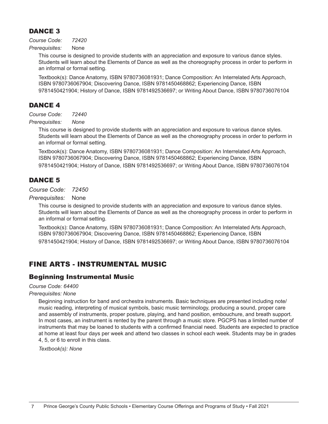## DANCE 3

*Course Code: 72420*

*Prerequisites:* None

This course is designed to provide students with an appreciation and exposure to various dance styles. Students will learn about the Elements of Dance as well as the choreography process in order to perform in an informal or formal setting.

Textbook(s): Dance Anatomy, ISBN 9780736081931; Dance Composition: An Interrelated Arts Approach, ISBN 9780736067904; Discovering Dance, ISBN 9781450468862; Experiencing Dance, ISBN 9781450421904; History of Dance, ISBN 9781492536697; or Writing About Dance, ISBN 9780736076104

## DANCE 4

*Course Code: 72440*

*Prerequisites: None*

This course is designed to provide students with an appreciation and exposure to various dance styles. Students will learn about the Elements of Dance as well as the choreography process in order to perform in an informal or formal setting.

Textbook(s): Dance Anatomy, ISBN 9780736081931; Dance Composition: An Interrelated Arts Approach, ISBN 9780736067904; Discovering Dance, ISBN 9781450468862; Experiencing Dance, ISBN 9781450421904; History of Dance, ISBN 9781492536697; or Writing About Dance, ISBN 9780736076104

## DANCE 5

*Course Code: 72450*

*Prerequisites:* None

This course is designed to provide students with an appreciation and exposure to various dance styles. Students will learn about the Elements of Dance as well as the choreography process in order to perform in an informal or formal setting.

Textbook(s): Dance Anatomy, ISBN 9780736081931; Dance Composition: An Interrelated Arts Approach, ISBN 9780736067904; Discovering Dance, ISBN 9781450468862; Experiencing Dance, ISBN 9781450421904; History of Dance, ISBN 9781492536697; or Writing About Dance, ISBN 9780736076104

## FINE ARTS - INSTRUMENTAL MUSIC

## Beginning Instrumental Music

*Course Code: 64400*

#### *Prerequisites: None*

Beginning instruction for band and orchestra instruments. Basic techniques are presented including note/ music reading, interpreting of musical symbols, basic music terminology, producing a sound, proper care and assembly of instruments, proper posture, playing, and hand position, embouchure, and breath support. In most cases, an instrument is rented by the parent through a music store. PGCPS has a limited number of instruments that may be loaned to students with a confirmed financial need. Students are expected to practice at home at least four days per week and attend two classes in school each week. Students may be in grades 4, 5, or 6 to enroll in this class.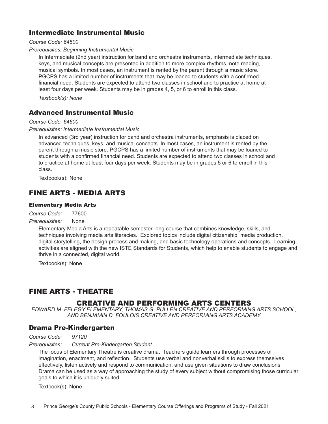## Intermediate Instrumental Music

#### *Course Code: 64500*

#### *Prerequisites: Beginning Instrumental Music*

In Intermediate (2nd year) instruction for band and orchestra instruments, intermediate techniques, keys, and musical concepts are presented in addition to more complex rhythms, note reading, musical symbols. In most cases, an instrument is rented by the parent through a music store. PGCPS has a limited number of instruments that may be loaned to students with a confirmed financial need. Students are expected to attend two classes in school and to practice at home at least four days per week. Students may be in grades 4, 5, or 6 to enroll in this class.

*Textbook(s): None*

## Advanced Instrumental Music

#### *Course Code: 64600*

#### *Prerequisites: Intermediate Instrumental Music*

In advanced (3rd year) instruction for band and orchestra instruments, emphasis is placed on advanced techniques, keys, and musical concepts. In most cases, an instrument is rented by the parent through a music store. PGCPS has a limited number of instruments that may be loaned to students with a confirmed financial need. Students are expected to attend two classes in school and to practice at home at least four days per week. Students may be in grades 5 or 6 to enroll in this class.

Textbook(s): None

## FINE ARTS - MEDIA ARTS

#### Elementary Media Arts

*Course Code:* 77600

#### *Prerequisites:* None

Elementary Media Arts is a repeatable semester-long course that combines knowledge, skills, and techniques involving media arts literacies. Explored topics include digital citizenship, media production, digital storytelling, the design process and making, and basic technology operations and concepts. Learning activities are aligned with the new ISTE Standards for Students, which help to enable students to engage and thrive in a connected, digital world.

Textbook(s): None

## FINE ARTS - THEATRE

## CREATIVE AND PERFORMING ARTS CENTERS

*EDWARD M. FELEGY ELEMENTARY, THOMAS G. PULLEN CREATIVE AND PERFORMING ARTS SCHOOL, AND BENJAMIN D. FOULOIS CREATIVE AND PERFORMING ARTS ACADEMY*

## Drama Pre-Kindergarten

*Course Code: 97120* 

#### *Prerequisites: Current Pre-Kindergarten Student*

The focus of Elementary Theatre is creative drama. Teachers guide learners through processes of imagination, enactment, and reflection. Students use verbal and nonverbal skills to express themselves effectively, listen actively and respond to communication, and use given situations to draw conclusions. Drama can be used as a way of approaching the study of every subject without compromising those curricular goals to which it is uniquely suited.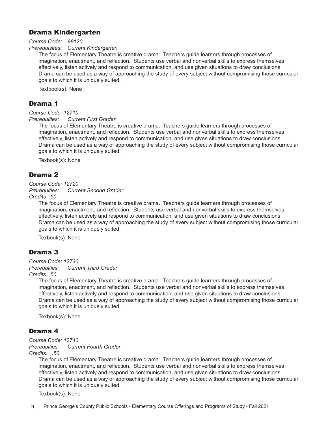## Drama Kindergarten

*Course Code: 98120*

*Prerequisites: Current Kindergarten*

The focus of Elementary Theatre is creative drama. Teachers guide learners through processes of imagination, enactment, and reflection. Students use verbal and nonverbal skills to express themselves effectively, listen actively and respond to communication, and use given situations to draw conclusions. Drama can be used as a way of approaching the study of every subject without compromising those curricular goals to which it is uniquely suited.

Textbook(s): None

## Drama 1

*Course Code: 12710*

*Prerequities: Current First Grader*

The focus of Elementary Theatre is creative drama. Teachers guide learners through processes of imagination, enactment, and reflection. Students use verbal and nonverbal skills to express themselves effectively, listen actively and respond to communication, and use given situations to draw conclusions. Drama can be used as a way of approaching the study of every subject without compromising those curricular goals to which it is uniquely suited.

Texbook(s): None

## Drama 2

#### *Course Code: 12720*

*Prerequities: Current Second Grader*

*Credits: .50* 

The focus of Elementary Theatre is creative drama. Teachers guide learners through processes of imagination, enactment, and reflection. Students use verbal and nonverbal skills to express themselves effectively, listen actively and respond to communication, and use given situations to draw conclusions. Drama can be used as a way of approaching the study of every subject without compromising those curricular goals to which it is uniquely suited.

Texbook(s): None

## Drama 3

*Course Code: 12730 Prerequities: Current Third Grader Credits: .50*

> The focus of Elementary Theatre is creative drama. Teachers guide learners through processes of imagination, enactment, and reflection. Students use verbal and nonverbal skills to express themselves effectively, listen actively and respond to communication, and use given situations to draw conclusions. Drama can be used as a way of approaching the study of every subject without compromising those curricular goals to which it is uniquely suited.

Texbook(s): None

## Drama 4

*Course Code: 12740*

*Prerequities: Current Fourth Grader*

*Credits: .50* 

The focus of Elementary Theatre is creative drama. Teachers guide learners through processes of imagination, enactment, and reflection. Students use verbal and nonverbal skills to express themselves effectively, listen actively and respond to communication, and use given situations to draw conclusions. Drama can be used as a way of approaching the study of every subject without compromising those curricular goals to which it is uniquely suited.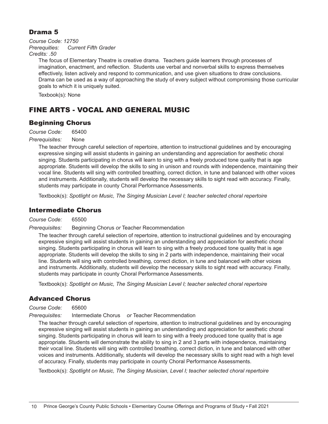## Drama 5

*Course Code: 12750*

*Prerequities: Current Fifth Grader*

*Credits: .50* 

The focus of Elementary Theatre is creative drama. Teachers guide learners through processes of imagination, enactment, and reflection. Students use verbal and nonverbal skills to express themselves effectively, listen actively and respond to communication, and use given situations to draw conclusions. Drama can be used as a way of approaching the study of every subject without compromising those curricular goals to which it is uniquely suited.

Texbook(s): None

## FINE ARTS - VOCAL AND GENERAL MUSIC

## Beginning Chorus

*Course Code:* 65400

#### *Prerequisites:* None

The teacher through careful selection of repertoire, attention to instructional guidelines and by encouraging expressive singing will assist students in gaining an understanding and appreciation for aesthetic choral singing. Students participating in chorus will learn to sing with a freely produced tone quality that is age appropriate. Students will develop the skills to sing in unison and rounds with independence, maintaining their vocal line. Students will sing with controlled breathing, correct diction, in tune and balanced with other voices and instruments. Additionally, students will develop the necessary skills to sight read with accuracy. Finally, students may participate in county Choral Performance Assessments.

Textbook(s): *Spotlight on Music, The Singing Musician Level I; teacher selected choral repertoire*

## Intermediate Chorus

*Course Code:* 65500

*Prerequisites:* Beginning Chorus *or* Teacher Recommendation

The teacher through careful selection of repertoire, attention to instructional guidelines and by encouraging expressive singing will assist students in gaining an understanding and appreciation for aesthetic choral singing. Students participating in chorus will learn to sing with a freely produced tone quality that is age appropriate. Students will develop the skills to sing in 2 parts with independence, maintaining their vocal line. Students will sing with controlled breathing, correct diction, in tune and balanced with other voices and instruments. Additionally, students will develop the necessary skills to sight read with accuracy. Finally, students may participate in county Choral Performance Assessments.

Textbook(s): *Spotlight on Music, The Singing Musician Level I; teacher selected choral repertoire*

## Advanced Chorus

*Course Code:* 65600

*Prerequisites:* Intermediate Chorus *or* Teacher Recommendation

The teacher through careful selection of repertoire, attention to instructional guidelines and by encouraging expressive singing will assist students in gaining an understanding and appreciation for aesthetic choral singing. Students participating in chorus will learn to sing with a freely produced tone quality that is age appropriate. Students will demonstrate the ability to sing in 2 and 3 parts with independence, maintaining their vocal line. Students will sing with controlled breathing, correct diction, in tune and balanced with other voices and instruments. Additionally, students will develop the necessary skills to sight read with a high level of accuracy. Finally, students may participate in county Choral Performance Assessments.

Textbook(s): *Spotlight on Music, The Singing Musician, Level I; teacher selected choral repertoire*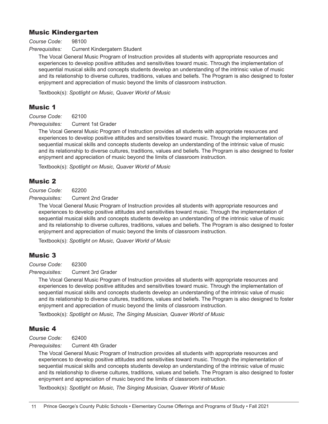## Music Kindergarten

*Course Code:* 98100

**Prerequisites:** Current Kindergatern Student

The Vocal General Music Program of Instruction provides all students with appropriate resources and experiences to develop positive attitudes and sensitivities toward music. Through the implementation of sequential musical skills and concepts students develop an understanding of the intrinsic value of music and its relationship to diverse cultures, traditions, values and beliefs. The Program is also designed to foster enjoyment and appreciation of music beyond the limits of classroom instruction.

Textbook(s): *Spotlight on Music, Quaver World of Music*

## Music 1

*Course Code:* 62100

*Prerequisites:* Current 1st Grader

The Vocal General Music Program of Instruction provides all students with appropriate resources and experiences to develop positive attitudes and sensitivities toward music. Through the implementation of sequential musical skills and concepts students develop an understanding of the intrinsic value of music and its relationship to diverse cultures, traditions, values and beliefs. The Program is also designed to foster enjoyment and appreciation of music beyond the limits of classroom instruction.

Textbook(s): *Spotlight on Music, Quaver World of Music*

## Music 2

*Course Code:* 62200

*Prerequisites:* Current 2nd Grader

The Vocal General Music Program of Instruction provides all students with appropriate resources and experiences to develop positive attitudes and sensitivities toward music. Through the implementation of sequential musical skills and concepts students develop an understanding of the intrinsic value of music and its relationship to diverse cultures, traditions, values and beliefs. The Program is also designed to foster enjoyment and appreciation of music beyond the limits of classroom instruction.

Textbook(s): *Spotlight on Music, Quaver World of Music*

## Music 3

*Course Code:* 62300

**Prerequisites:** Current 3rd Grader

The Vocal General Music Program of Instruction provides all students with appropriate resources and experiences to develop positive attitudes and sensitivities toward music. Through the implementation of sequential musical skills and concepts students develop an understanding of the intrinsic value of music and its relationship to diverse cultures, traditions, values and beliefs. The Program is also designed to foster enjoyment and appreciation of music beyond the limits of classroom instruction.

Textbook(s): *Spotlight on Music, The Singing Musician, Quaver World of Music*

## Music 4

*Course Code:* 62400

**Prerequisites:** Current 4th Grader

The Vocal General Music Program of Instruction provides all students with appropriate resources and experiences to develop positive attitudes and sensitivities toward music. Through the implementation of sequential musical skills and concepts students develop an understanding of the intrinsic value of music and its relationship to diverse cultures, traditions, values and beliefs. The Program is also designed to foster enjoyment and appreciation of music beyond the limits of classroom instruction.

Textbook(s): *Spotlight on Music, The Singing Musician, Quaver World of Music*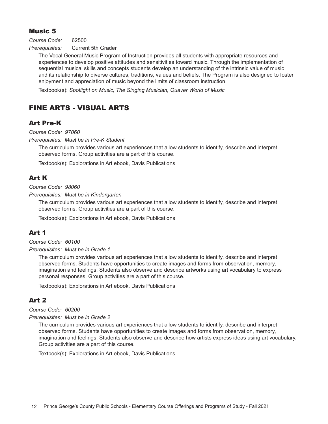## Music 5

*Course Code:* 62500

*Prerequisites:* Current 5th Grader

The Vocal General Music Program of Instruction provides all students with appropriate resources and experiences to develop positive attitudes and sensitivities toward music. Through the implementation of sequential musical skills and concepts students develop an understanding of the intrinsic value of music and its relationship to diverse cultures, traditions, values and beliefs. The Program is also designed to foster enjoyment and appreciation of music beyond the limits of classroom instruction.

Textbook(s): *Spotlight on Music, The Singing Musician, Quaver World of Music*

## FINE ARTS - VISUAL ARTS

## Art Pre-K

*Course Code: 97060* 

*Prerequisites: Must be in Pre-K Student* 

The curriculum provides various art experiences that allow students to identify, describe and interpret observed forms. Group activities are a part of this course.

Textbook(s): Explorations in Art ebook, Davis Publications

## Art K

*Course Code: 98060* 

*Prerequisites: Must be in Kindergarten* 

The curriculum provides various art experiences that allow students to identify, describe and interpret observed forms. Group activities are a part of this course.

Textbook(s): Explorations in Art ebook, Davis Publications

## Art 1

*Course Code: 60100* 

*Prerequisites: Must be in Grade 1*

The curriculum provides various art experiences that allow students to identify, describe and interpret observed forms. Students have opportunities to create images and forms from observation, memory, imagination and feelings. Students also observe and describe artworks using art vocabulary to express personal responses. Group activities are a part of this course.

Textbook(s): Explorations in Art ebook, Davis Publications

## Art 2

#### *Course Code: 60200*

#### *Prerequisites: Must be in Grade 2*

The curriculum provides various art experiences that allow students to identify, describe and interpret observed forms. Students have opportunities to create images and forms from observation, memory, imagination and feelings. Students also observe and describe how artists express ideas using art vocabulary. Group activities are a part of this course.

Textbook(s): Explorations in Art ebook, Davis Publications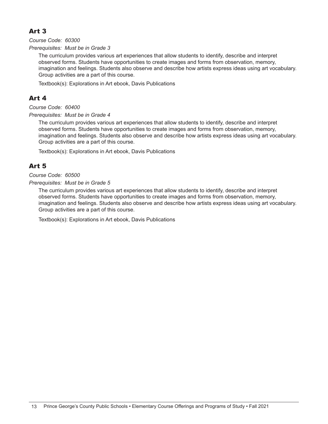## Art 3

*Course Code: 60300* 

*Prerequisites: Must be in Grade 3* 

The curriculum provides various art experiences that allow students to identify, describe and interpret observed forms. Students have opportunities to create images and forms from observation, memory, imagination and feelings. Students also observe and describe how artists express ideas using art vocabulary. Group activities are a part of this course.

Textbook(s): Explorations in Art ebook, Davis Publications

## Art 4

*Course Code: 60400* 

*Prerequisites: Must be in Grade 4* 

The curriculum provides various art experiences that allow students to identify, describe and interpret observed forms. Students have opportunities to create images and forms from observation, memory, imagination and feelings. Students also observe and describe how artists express ideas using art vocabulary. Group activities are a part of this course.

Textbook(s): Explorations in Art ebook, Davis Publications

## Art 5

#### *Course Code: 60500*

*Prerequisites: Must be in Grade 5* 

The curriculum provides various art experiences that allow students to identify, describe and interpret observed forms. Students have opportunities to create images and forms from observation, memory, imagination and feelings. Students also observe and describe how artists express ideas using art vocabulary. Group activities are a part of this course.

Textbook(s): Explorations in Art ebook, Davis Publications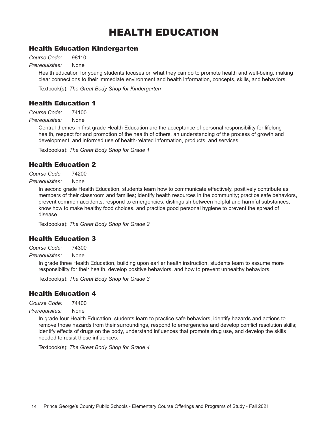## HEALTH EDUCATION

## Health Education Kindergarten

*Course Code:* 98110

*Prerequisites:* None

Health education for young students focuses on what they can do to promote health and well-being, making clear connections to their immediate environment and health information, concepts, skills, and behaviors.

Textbook(s): *The Great Body Shop for Kindergarten*

## Health Education 1

*Course Code:* 74100

*Prerequisites:* None

Central themes in first grade Health Education are the acceptance of personal responsibility for lifelong health, respect for and promotion of the health of others, an understanding of the process of growth and development, and informed use of health-related information, products, and services.

Textbook(s): *The Great Body Shop for Grade 1*

## Health Education 2

*Course Code:* 74200

*Prerequisites:* None

In second grade Health Education, students learn how to communicate effectively, positively contribute as members of their classroom and families; identify health resources in the community; practice safe behaviors, prevent common accidents, respond to emergencies; distinguish between helpful and harmful substances; know how to make healthy food choices, and practice good personal hygiene to prevent the spread of disease.

Textbook(s): *The Great Body Shop for Grade 2*

## Health Education 3

*Course Code:* 74300

*Prerequisites:* None

In grade three Health Education, building upon earlier health instruction, students learn to assume more responsibility for their health, develop positive behaviors, and how to prevent unhealthy behaviors.

Textbook(s): *The Great Body Shop for Grade 3*

## Health Education 4

*Course Code:* 74400

*Prerequisites:* None

In grade four Health Education, students learn to practice safe behaviors, identify hazards and actions to remove those hazards from their surroundings, respond to emergencies and develop conflict resolution skills; identify effects of drugs on the body, understand influences that promote drug use, and develop the skills needed to resist those influences.

Textbook(s): *The Great Body Shop for Grade 4*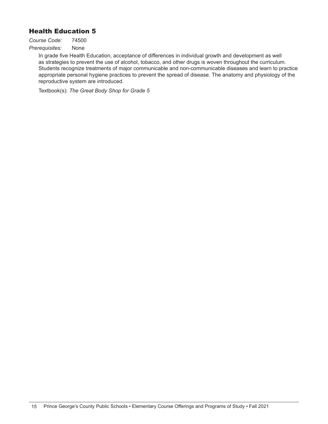## Health Education 5

*Course Code:* 74500 *Prerequisites:* None

In grade five Health Education, acceptance of differences in individual growth and development as well as strategies to prevent the use of alcohol, tobacco, and other drugs is woven throughout the curriculum. Students recognize treatments of major communicable and non-communicable diseases and learn to practice appropriate personal hygiene practices to prevent the spread of disease. The anatomy and physiology of the reproductive system are introduced.

Textbook(s): *The Great Body Shop for Grade 5*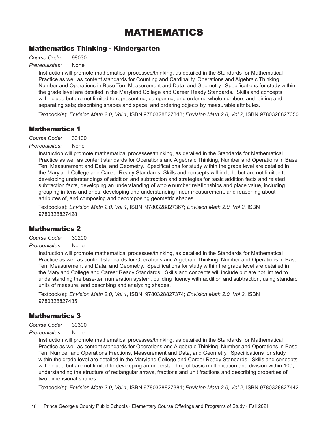## MATHEMATICS

## Mathematics Thinking - Kindergarten

*Course Code:* 98030

*Prerequisites:* None

Instruction will promote mathematical processes/thinking, as detailed in the Standards for Mathematical Practice as well as content standards for Counting and Cardinality, Operations and Algebraic Thinking, Number and Operations in Base Ten, Measurement and Data, and Geometry. Specifications for study within the grade level are detailed in the Maryland College and Career Ready Standards. Skills and concepts will include but are not limited to representing, comparing, and ordering whole numbers and joining and separating sets; describing shapes and space; and ordering objects by measurable attributes.

Textbook(s): *Envision Math 2.0, Vol 1*, ISBN 9780328827343; *Envision Math 2.0, Vol 2*, ISBN 9780328827350

## Mathematics 1

*Course Code:* 30100

*Prerequisites:* None

Instruction will promote mathematical processes/thinking, as detailed in the Standards for Mathematical Practice as well as content standards for Operations and Algebraic Thinking, Number and Operations in Base Ten, Measurement and Data, and Geometry. Specifications for study within the grade level are detailed in the Maryland College and Career Ready Standards. Skills and concepts will include but are not limited to developing understandings of addition and subtraction and strategies for basic addition facts and related subtraction facts, developing an understanding of whole number relationships and place value, including grouping in tens and ones, developing and understanding linear measurement, and reasoning about attributes of, and composing and decomposing geometric shapes.

Textbook(s): *Envision Math 2.0, Vol 1*, ISBN 9780328827367; *Envision Math 2.0, Vol 2*, ISBN 9780328827428

## Mathematics 2

*Course Code:* 30200

*Prerequisites:* None

Instruction will promote mathematical processes/thinking, as detailed in the Standards for Mathematical Practice as well as content standards for Operations and Algebraic Thinking, Number and Operations in Base Ten, Measurement and Data, and Geometry. Specifications for study within the grade level are detailed in the Maryland College and Career Ready Standards. Skills and concepts will include but are not limited to understanding the base-ten numeration system, building fluency with addition and subtraction, using standard units of measure, and describing and analyzing shapes.

Textbook(s): *Envision Math 2.0, Vol 1*, ISBN 9780328827374; *Envision Math 2.0, Vol 2*, ISBN 9780328827435

## Mathematics 3

*Course Code:* 30300

*Prerequisites:* None

Instruction will promote mathematical processes/thinking, as detailed in the Standards for Mathematical Practice as well as content standards for Operations and Algebraic Thinking, Number and Operations in Base Ten, Number and Operations Fractions, Measurement and Data, and Geometry. Specifications for study within the grade level are detailed in the Maryland College and Career Ready Standards. Skills and concepts will include but are not limited to developing an understanding of basic multiplication and division within 100, understanding the structure of rectangular arrays, fractions and unit fractions and describing properties of two-dimensional shapes.

Textbook(s): *Envision Math 2.0, Vol 1*, ISBN 9780328827381; *Envision Math 2.0, Vol 2*, ISBN 9780328827442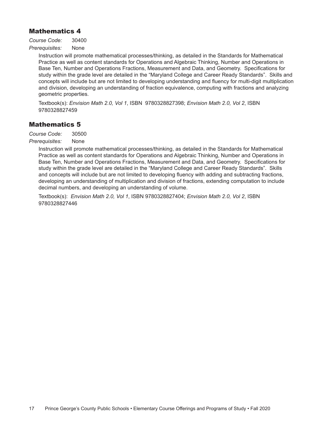## Mathematics 4

*Course Code:* 30400

*Prerequisites:* None

Instruction will promote mathematical processes/thinking, as detailed in the Standards for Mathematical Practice as well as content standards for Operations and Algebraic Thinking, Number and Operations in Base Ten, Number and Operations Fractions, Measurement and Data, and Geometry. Specifications for study within the grade level are detailed in the "Maryland College and Career Ready Standards". Skills and concepts will include but are not limited to developing understanding and fluency for multi-digit multiplication and division, developing an understanding of fraction equivalence, computing with fractions and analyzing geometric properties.

Textbook(s): *Envision Math 2.0, Vol 1*, ISBN 9780328827398; *Envision Math 2.0, Vol 2*, ISBN 9780328827459

## Mathematics 5

*Course Code:* 30500

*Prerequisites:* None

Instruction will promote mathematical processes/thinking, as detailed in the Standards for Mathematical Practice as well as content standards for Operations and Algebraic Thinking, Number and Operations in Base Ten, Number and Operations Fractions, Measurement and Data, and Geometry. Specifications for study within the grade level are detailed in the "Maryland College and Career Ready Standards". Skills and concepts will include but are not limited to developing fluency with adding and subtracting fractions, developing an understanding of multiplication and division of fractions, extending computation to include decimal numbers, and developing an understanding of volume.

Textbook(s): *Envision Math 2.0, Vol 1*, ISBN 9780328827404; *Envision Math 2.0, Vol 2*, ISBN 9780328827446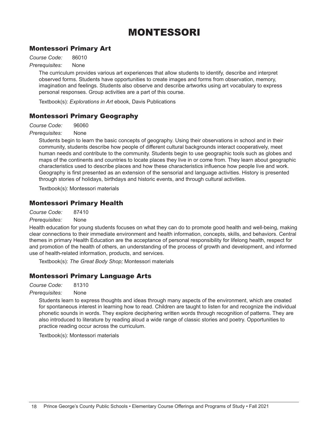## MONTESSORI

## Montessori Primary Art

*Course Code:* 86010

*Prerequisites:* None

The curriculum provides various art experiences that allow students to identify, describe and interpret observed forms. Students have opportunities to create images and forms from observation, memory, imagination and feelings. Students also observe and describe artworks using art vocabulary to express personal responses. Group activities are a part of this course.

Textbook(s): *Explorations in Art* ebook, Davis Publications

## Montessori Primary Geography

*Course Code:* 96060

#### *Prerequisites:* None

Students begin to learn the basic concepts of geography. Using their observations in school and in their community, students describe how people of different cultural backgrounds interact cooperatively, meet human needs and contribute to the community. Students begin to use geographic tools such as globes and maps of the continents and countries to locate places they live in or come from. They learn about geographic characteristics used to describe places and how these characteristics influence how people live and work. Geography is first presented as an extension of the sensorial and language activities. History is presented through stories of holidays, birthdays and historic events, and through cultural activities.

Textbook(s): Montessori materials

## Montessori Primary Health

*Course Code:* 87410

*Prerequisites:* None

Health education for young students focuses on what they can do to promote good health and well-being, making clear connections to their immediate environment and health information, concepts, skills, and behaviors. Central themes in primary Health Education are the acceptance of personal responsibility for lifelong health, respect for and promotion of the health of others, an understanding of the process of growth and development, and informed use of health-related information, products, and services.

Textbook(s): *The Great Body Shop;* Montessori materials

## Montessori Primary Language Arts

*Course Code:* 81310

#### *Prerequisites:* None

Students learn to express thoughts and ideas through many aspects of the environment, which are created for spontaneous interest in learning how to read. Children are taught to listen for and recognize the individual phonetic sounds in words. They explore deciphering written words through recognition of patterns. They are also introduced to literature by reading aloud a wide range of classic stories and poetry. Opportunities to practice reading occur across the curriculum.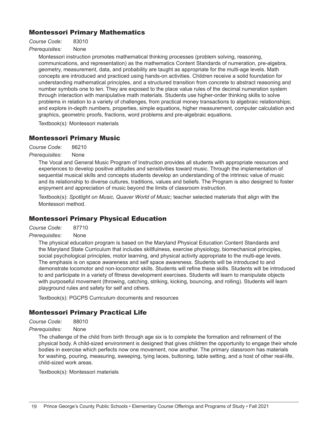## Montessori Primary Mathematics

*Course Code:* 83010

*Prerequisites:* None

Montessori instruction promotes mathematical thinking processes (problem solving, reasoning, communications, and representation) as the mathematics Content Standards of numeration, pre-algebra, geometry, measurement, data, and probability are taught as appropriate for the multi-age levels. Math concepts are introduced and practiced using hands-on activities. Children receive a solid foundation for understanding mathematical principles, and a structured transition from concrete to abstract reasoning and number symbols one to ten. They are exposed to the place value rules of the decimal numeration system through interaction with manipulative math materials. Students use higher-order thinking skills to solve problems in relation to a variety of challenges, from practical money transactions to algebraic relationships; and explore in-depth numbers, properties, simple equations, higher measurement, computer calculation and graphics, geometric proofs, fractions, word problems and pre-algebraic equations.

Textbook(s): Montessori materials

## Montessori Primary Music

*Course Code:* 86210

*Prerequisites:* None

The Vocal and General Music Program of Instruction provides all students with appropriate resources and experiences to develop positive attitudes and sensitivities toward music. Through the implementation of sequential musical skills and concepts students develop an understanding of the intrinsic value of music and its relationship to diverse cultures, traditions, values and beliefs. The Program is also designed to foster enjoyment and appreciation of music beyond the limits of classroom instruction.

Textbook(s): *Spotlight on Music, Quaver World of Music;* teacher selected materials that align with the Montessori method.

## Montessori Primary Physical Education

*Course Code:* 87710

#### *Prerequisites:* None

The physical education program is based on the Maryland Physical Education Content Standards and the Maryland State Curriculum that includes skillfulness, exercise physiology, biomechanical principles, social psychological principles, motor learning, and physical activity appropriate to the multi-age levels. The emphasis is on space awareness and self space awareness. Students will be introduced to and demonstrate locomotor and non-locomotor skills. Students will refine these skills. Students will be introduced to and participate in a variety of fitness development exercises. Students will learn to manipulate objects with purposeful movement (throwing, catching, striking, kicking, bouncing, and rolling). Students will learn playground rules and safety for self and others.

Textbook(s): PGCPS Curriculum documents and resources

## Montessori Primary Practical Life

*Course Code:* 88010

#### *Prerequisites:* None

The challenge of the child from birth through age six is to complete the formation and refinement of the physical body. A child-sized environment is designed that gives children the opportunity to engage their whole bodies in exercise which perfects now one movement, now another. The primary classroom has materials for washing, pouring, measuring, sweeping, tying laces, buttoning, table setting, and a host of other real-life, child-sized work areas.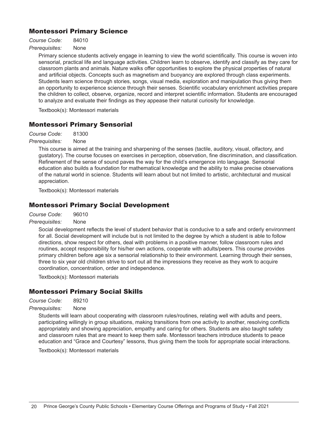## Montessori Primary Science

*Course Code:* 84010

*Prerequisites:* None

Primary science students actively engage in learning to view the world scientifically. This course is woven into sensorial, practical life and language activities. Children learn to observe, identify and classify as they care for classroom plants and animals. Nature walks offer opportunities to explore the physical properties of natural and artificial objects. Concepts such as magnetism and buoyancy are explored through class experiments. Students learn science through stories, songs, visual media, exploration and manipulation thus giving them an opportunity to experience science through their senses. Scientific vocabulary enrichment activities prepare the children to collect, observe, organize, record and interpret scientific information. Students are encouraged to analyze and evaluate their findings as they appease their natural curiosity for knowledge.

Textbook(s): Montessori materials

## Montessori Primary Sensorial

*Course Code:* 81300

*Prerequisites:* None

This course is aimed at the training and sharpening of the senses (tactile, auditory, visual, olfactory, and gustatory). The course focuses on exercises in perception, observation, fine discrimination, and classification. Refinement of the sense of sound paves the way for the child's emergence into language. Sensorial education also builds a foundation for mathematical knowledge and the ability to make precise observations of the natural world in science. Students will learn about but not limited to artistic, architectural and musical appreciation.

Textbook(s): Montessori materials

## Montessori Primary Social Development

*Course Code:* 96010

*Prerequisites:* None

Social development reflects the level of student behavior that is conducive to a safe and orderly environment for all. Social development will include but is not limited to the degree by which a student is able to follow directions, show respect for others, deal with problems in a positive manner, follow classroom rules and routines, accept responsibility for his/her own actions, cooperate with adults/peers. This course provides primary children before age six a sensorial relationship to their environment. Learning through their senses, three to six year old children strive to sort out all the impressions they receive as they work to acquire coordination, concentration, order and independence.

Textbook(s): Montessori materials

## Montessori Primary Social Skills

*Course Code:* 89210

*Prerequisites:* None

Students will learn about cooperating with classroom rules/routines, relating well with adults and peers, participating willingly in group situations, making transitions from one activity to another, resolving conflicts appropriately and showing appreciation, empathy and caring for others. Students are also taught safety and classroom rules that are meant to keep them safe. Montessori teachers introduce students to peace education and "Grace and Courtesy" lessons, thus giving them the tools for appropriate social interactions.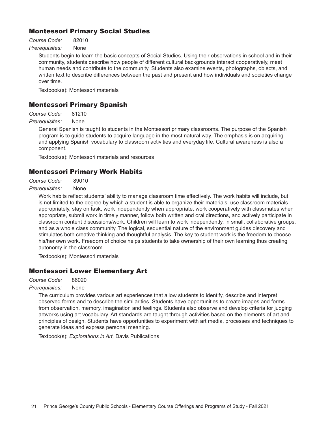## Montessori Primary Social Studies

*Course Code:* 82010

*Prerequisites:* None

Students begin to learn the basic concepts of Social Studies. Using their observations in school and in their community, students describe how people of different cultural backgrounds interact cooperatively, meet human needs and contribute to the community. Students also examine events, photographs, objects, and written text to describe differences between the past and present and how individuals and societies change over time.

Textbook(s): Montessori materials

## Montessori Primary Spanish

*Course Code:* 81210

*Prerequisites:* None

General Spanish is taught to students in the Montessori primary classrooms. The purpose of the Spanish program is to guide students to acquire language in the most natural way. The emphasis is on acquiring and applying Spanish vocabulary to classroom activities and everyday life. Cultural awareness is also a component.

Textbook(s): Montessori materials and resources

## Montessori Primary Work Habits

*Course Code:* 89010

#### *Prerequisites:* None

Work habits reflect students' ability to manage classroom time effectively. The work habits will include, but is not limited to the degree by which a student is able to organize their materials, use classroom materials appropriately, stay on task, work independently when appropriate, work cooperatively with classmates when appropriate, submit work in timely manner, follow both written and oral directions, and actively participate in classroom content discussions/work. Children will learn to work independently, in small, collaborative groups, and as a whole class community. The logical, sequential nature of the environment guides discovery and stimulates both creative thinking and thoughtful analysis. The key to student work is the freedom to choose his/her own work. Freedom of choice helps students to take ownership of their own learning thus creating autonomy in the classroom.

Textbook(s): Montessori materials

## Montessori Lower Elementary Art

*Course Code:* 86020

#### *Prerequisites:* None

The curriculum provides various art experiences that allow students to identify, describe and interpret observed forms and to describe the similarities. Students have opportunities to create images and forms from observation, memory, imagination and feelings. Students also observe and develop criteria for judging artworks using art vocabulary. Art standards are taught through activities based on the elements of art and principles of design. Students have opportunities to experiment with art media, processes and techniques to generate ideas and express personal meaning.

Textbook(s): *Explorations in Art,* Davis Publications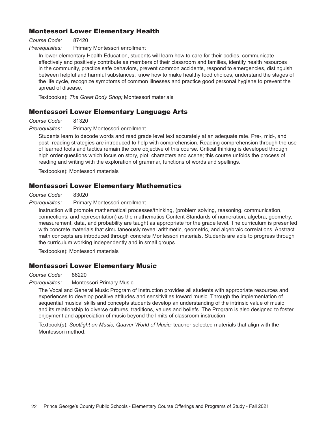## Montessori Lower Elementary Health

#### *Course Code:* 87420

#### *Prerequisites:* Primary Montessori enrollment

In lower elementary Health Education, students will learn how to care for their bodies, communicate effectively and positively contribute as members of their classroom and families, identify health resources in the community, practice safe behaviors, prevent common accidents, respond to emergencies, distinguish between helpful and harmful substances, know how to make healthy food choices, understand the stages of the life cycle, recognize symptoms of common illnesses and practice good personal hygiene to prevent the spread of disease.

Textbook(s): *The Great Body Shop;* Montessori materials

## Montessori Lower Elementary Language Arts

#### *Course Code:* 81320

#### *Prerequisites:* Primary Montessori enrollment

Students learn to decode words and read grade level text accurately at an adequate rate. Pre-, mid-, and post- reading strategies are introduced to help with comprehension. Reading comprehension through the use of learned tools and tactics remain the core objective of this course. Critical thinking is developed through high order questions which focus on story, plot, characters and scene; this course unfolds the process of reading and writing with the exploration of grammar, functions of words and spellings.

Textbook(s): Montessori materials

### Montessori Lower Elementary Mathematics

*Course Code:* 83020

*Prerequisites:* Primary Montessori enrollment

Instruction will promote mathematical processes/thinking, (problem solving, reasoning, communication, connections, and representation) as the mathematics Content Standards of numeration, algebra, geometry, measurement, data, and probability are taught as appropriate for the grade level. The curriculum is presented with concrete materials that simultaneously reveal arithmetic, geometric, and algebraic correlations. Abstract math concepts are introduced through concrete Montessori materials. Students are able to progress through the curriculum working independently and in small groups.

Textbook(s): Montessori materials

## Montessori Lower Elementary Music

#### *Course Code:* 86220

*Prerequisites:* Montessori Primary Music

The Vocal and General Music Program of Instruction provides all students with appropriate resources and experiences to develop positive attitudes and sensitivities toward music. Through the implementation of sequential musical skills and concepts students develop an understanding of the intrinsic value of music and its relationship to diverse cultures, traditions, values and beliefs. The Program is also designed to foster enjoyment and appreciation of music beyond the limits of classroom instruction.

Textbook(s): *Spotlight on Music, Quaver World of Music;* teacher selected materials that align with the Montessori method.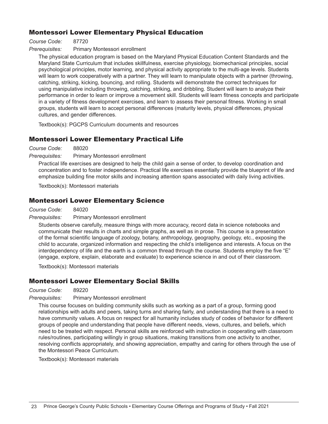## Montessori Lower Elementary Physical Education

*Course Code:* 87720

*Prerequisites:* Primary Montessori enrollment

The physical education program is based on the Maryland Physical Education Content Standards and the Maryland State Curriculum that includes skillfulness, exercise physiology, biomechanical principles, social psychological principles, motor learning, and physical activity appropriate to the multi-age levels. Students will learn to work cooperatively with a partner. They will learn to manipulate objects with a partner (throwing, catching, striking, kicking, bouncing, and rolling. Students will demonstrate the correct techniques for using manipulative including throwing, catching, striking, and dribbling. Student will learn to analyze their performance in order to learn or improve a movement skill. Students will learn fitness concepts and participate in a variety of fitness development exercises, and learn to assess their personal fitness. Working in small groups, students will learn to accept personal differences (maturity levels, physical differences, physical cultures, and gender differences.

Textbook(s): PGCPS Curriculum documents and resources

## Montessori Lower Elementary Practical Life

*Course Code:* 88020

*Prerequisites:* Primary Montessori enrollment

Practical life exercises are designed to help the child gain a sense of order, to develop coordination and concentration and to foster independence. Practical life exercises essentially provide the blueprint of life and emphasize building fine motor skills and increasing attention spans associated with daily living activities.

Textbook(s): Montessori materials

## Montessori Lower Elementary Science

*Course Code:* 84020

*Prerequisites:* Primary Montessori enrollment

Students observe carefully, measure things with more accuracy, record data in science notebooks and communicate their results in charts and simple graphs, as well as in prose. This course is a presentation of the formal scientific language of zoology, botany, anthropology, geography, geology, etc., exposing the child to accurate, organized information and respecting the child's intelligence and interests. A focus on the interdependency of life and the earth is a common thread through the course. Students employ the five "E" (engage, explore, explain, elaborate and evaluate) to experience science in and out of their classroom.

Textbook(s): Montessori materials

## Montessori Lower Elementary Social Skills

*Course Code:* 89220

*Prerequisites:* Primary Montessori enrollment

This course focuses on building community skills such as working as a part of a group, forming good relationships with adults and peers, taking turns and sharing fairly, and understanding that there is a need to have community values. A focus on respect for all humanity includes study of codes of behavior for different groups of people and understanding that people have different needs, views, cultures, and beliefs, which need to be treated with respect. Personal skills are reinforced with instruction in cooperating with classroom rules/routines, participating willingly in group situations, making transitions from one activity to another, resolving conflicts appropriately, and showing appreciation, empathy and caring for others through the use of the Montessori Peace Curriculum.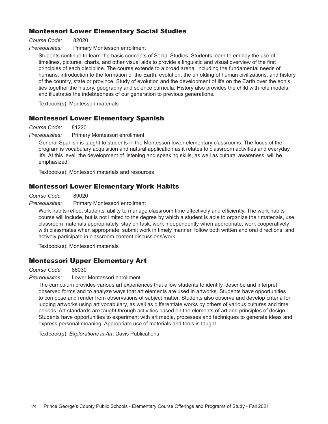## Montessori Lower Elementary Social Studies

*Course Code:* 82020

*Prerequisites:* Primary Montessori enrollment

Students continue to learn the basic concepts of Social Studies. Students learn to employ the use of timelines, pictures, charts, and other visual aids to provide a linguistic and visual overview of the first principles of each discipline. The course extends to a broad arena, including the fundamental needs of humans, introduction to the formation of the Earth, evolution, the unfolding of human civilizations, and history of the country, state or province. Study of evolution and the development of life on the Earth over the eon's ties together the history, geography and science curricula. History also provides the child with role models, and illustrates the indebtedness of our generation to previous generations.

Textbook(s): Montessori materials

## Montessori Lower Elementary Spanish

*Course Code:* 81220

*Prerequisites:* Primary Montessori enrollment

General Spanish is taught to students in the Montessori lower elementary classrooms. The focus of the program is vocabulary acquisition and natural application as it relates to classroom activities and everyday life. At this level, the development of listening and speaking skills, as well as cultural awareness, will be emphasized.

Textbook(s): Montessori materials and resources

## Montessori Lower Elementary Work Habits

*Course Code:* 89020

*Prerequisites:* Primary Montessori enrollment

Work habits reflect students' ability to manage classroom time effectively and efficiently. The work habits course will include, but is not limited to the degree by which a student is able to organize their materials, use classroom materials appropriately, stay on task, work independently when appropriate, work cooperatively with classmates when appropriate, submit work in timely manner, follow both written and oral directions, and actively participate in classroom content discussions/work.

Textbook(s): Montessori materials

## Montessori Upper Elementary Art

*Course Code:* 86030

*Prerequisites:* Lower Montessori enrollment

The curriculum provides various art experiences that allow students to identify, describe and interpret observed forms and to analyze ways that art elements are used in artworks. Students have opportunities to compose and render from observations of subject matter. Students also observe and develop criteria for judging artworks using art vocabulary, as well as differentiate works by others of various cultures and time periods. Art standards are taught through activities based on the elements of art and principles of design. Students have opportunities to experiment with art media, processes and techniques to generate ideas and express personal meaning. Appropriate use of materials and tools is taught.

Textbook(s): *Explorations in Art*, Davis Publications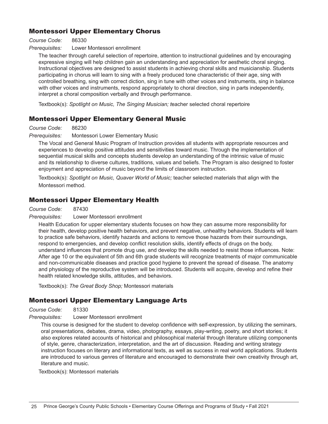## Montessori Upper Elementary Chorus

#### *Course Code:* 86330

#### *Prerequisites:* Lower Montessori enrollment

The teacher through careful selection of repertoire, attention to instructional guidelines and by encouraging expressive singing will help children gain an understanding and appreciation for aesthetic choral singing. Instructional objectives are designed to assist students in achieving choral skills and musicianship. Students participating in chorus will learn to sing with a freely produced tone characteristic of their age, sing with controlled breathing, sing with correct diction, sing in tune with other voices and instruments, sing in balance with other voices and instruments, respond appropriately to choral direction, sing in parts independently, interpret a choral composition verbally and through performance.

Textbook(s): *Spotlight on Music, The Singing Musician; t*eacher selected choral repertoire

## Montessori Upper Elementary General Music

*Course Code:* 86230

*Prerequisites:* Montessori Lower Elementary Music

The Vocal and General Music Program of Instruction provides all students with appropriate resources and experiences to develop positive attitudes and sensitivities toward music. Through the implementation of sequential musical skills and concepts students develop an understanding of the intrinsic value of music and its relationship to diverse cultures, traditions, values and beliefs. The Program is also designed to foster enjoyment and appreciation of music beyond the limits of classroom instruction.

Textbook(s): *Spotlight on Music, Quaver World of Music;* teacher selected materials that align with the Montessori method.

## Montessori Upper Elementary Health

*Course Code:* 87430

#### *Prerequisites:* Lower Montessori enrollment

Health Education for upper elementary students focuses on how they can assume more responsibility for their health, develop positive health behaviors, and prevent negative, unhealthy behaviors. Students will learn to practice safe behaviors, identify hazards and actions to remove those hazards from their surroundings, respond to emergencies, and develop conflict resolution skills, identify effects of drugs on the body, understand influences that promote drug use, and develop the skills needed to resist those influences. Note: After age 10 or the equivalent of 5th and 6th grade students will recognize treatments of major communicable and non-communicable diseases and practice good hygiene to prevent the spread of disease. The anatomy and physiology of the reproductive system will be introduced. Students will acquire, develop and refine their health related knowledge skills, attitudes, and behaviors.

Textbook(s): *The Great Body Shop;* Montessori materials

## Montessori Upper Elementary Language Arts

*Course Code:* 81330

*Prerequisites:* Lower Montessori enrollment

This course is designed for the student to develop confidence with self-expression, by utilizing the seminars, oral presentations, debates, drama, video, photography, essays, play-writing, poetry, and short stories; it also explores related accounts of historical and philosophical material through literature utilizing components of style, genre, characterization, interpretation, and the art of discussion. Reading and writing strategy instruction focuses on literary and informational texts, as well as success in real world applications. Students are introduced to various genres of literature and encouraged to demonstrate their own creativity through art, literature and music.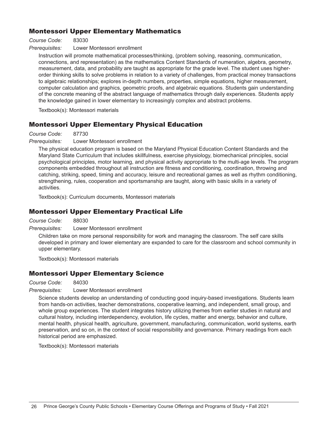## Montessori Upper Elementary Mathematics

*Course Code:* 83030

*Prerequisites:* Lower Montessori enrollment

Instruction will promote mathematical processes/thinking, (problem solving, reasoning, communication, connections, and representation) as the mathematics Content Standards of numeration, algebra, geometry, measurement, data, and probability are taught as appropriate for the grade level. The student uses higherorder thinking skills to solve problems in relation to a variety of challenges, from practical money transactions to algebraic relationships; explores in-depth numbers, properties, simple equations, higher measurement, computer calculation and graphics, geometric proofs, and algebraic equations. Students gain understanding of the concrete meaning of the abstract language of mathematics through daily experiences. Students apply the knowledge gained in lower elementary to increasingly complex and abstract problems.

Textbook(s): Montessori materials

## Montessori Upper Elementary Physical Education

*Course Code:* 87730

*Prerequisites:* Lower Montessori enrollment

The physical education program is based on the Maryland Physical Education Content Standards and the Maryland State Curriculum that includes skillfulness, exercise physiology, biomechanical principles, social psychological principles, motor learning, and physical activity appropriate to the multi-age levels. The program components embedded throughout all instruction are fitness and conditioning, coordination, throwing and catching, striking, speed, timing and accuracy, leisure and recreational games as well as rhythm conditioning, strengthening, rules, cooperation and sportsmanship are taught, along with basic skills in a variety of activities.

Textbook(s): Curriculum documents, Montessori materials

## Montessori Upper Elementary Practical Life

*Course Code:* 88030

*Prerequisites:* Lower Montessori enrollment

Children take on more personal responsibility for work and managing the classroom. The self care skills developed in primary and lower elementary are expanded to care for the classroom and school community in upper elementary.

Textbook(s): Montessori materials

## Montessori Upper Elementary Science

*Course Code:* 84030

*Prerequisites:* Lower Montessori enrollment

Science students develop an understanding of conducting good inquiry-based investigations. Students learn from hands-on activities, teacher demonstrations, cooperative learning, and independent, small group, and whole group experiences. The student integrates history utilizing themes from earlier studies in natural and cultural history, including interdependency, evolution, life cycles, matter and energy, behavior and culture, mental health, physical health, agriculture, government, manufacturing, communication, world systems, earth preservation, and so on, in the context of social responsibility and governance. Primary readings from each historical period are emphasized.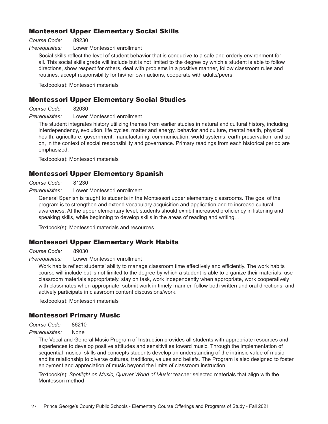## Montessori Upper Elementary Social Skills

*Course Code:* 89230

*Prerequisites:* Lower Montessori enrollment

Social skills reflect the level of student behavior that is conducive to a safe and orderly environment for all. This social skills grade will include but is not limited to the degree by which a student is able to follow directions, show respect for others, deal with problems in a positive manner, follow classroom rules and routines, accept responsibility for his/her own actions, cooperate with adults/peers.

Textbook(s): Montessori materials

### Montessori Upper Elementary Social Studies

*Course Code:* 82030

*Prerequisites:* Lower Montessori enrollment

The student integrates history utilizing themes from earlier studies in natural and cultural history, including interdependency, evolution, life cycles, matter and energy, behavior and culture, mental health, physical health, agriculture, government, manufacturing, communication, world systems, earth preservation, and so on, in the context of social responsibility and governance. Primary readings from each historical period are emphasized.

Textbook(s): Montessori materials

### Montessori Upper Elementary Spanish

*Course Code:* 81230

#### *Prerequisites:* Lower Montessori enrollment

General Spanish is taught to students in the Montessori upper elementary classrooms. The goal of the program is to strengthen and extend vocabulary acquisition and application and to increase cultural awareness. At the upper elementary level, students should exhibit increased proficiency in listening and speaking skills, while beginning to develop skills in the areas of reading and writing. .

Textbook(s): Montessori materials and resources

## Montessori Upper Elementary Work Habits

*Course Code:* 89030

#### *Prerequisites:* Lower Montessori enrollment

Work habits reflect students' ability to manage classroom time effectively and efficiently. The work habits course will include but is not limited to the degree by which a student is able to organize their materials, use classroom materials appropriately, stay on task, work independently when appropriate, work cooperatively with classmates when appropriate, submit work in timely manner, follow both written and oral directions, and actively participate in classroom content discussions/work.

Textbook(s): Montessori materials

## Montessori Primary Music

*Course Code:* 86210

#### *Prerequisites:* None

The Vocal and General Music Program of Instruction provides all students with appropriate resources and experiences to develop positive attitudes and sensitivities toward music. Through the implementation of sequential musical skills and concepts students develop an understanding of the intrinsic value of music and its relationship to diverse cultures, traditions, values and beliefs. The Program is also designed to foster enjoyment and appreciation of music beyond the limits of classroom instruction.

Textbook(s): *Spotlight on Music, Quaver World of Music;* teacher selected materials that align with the Montessori method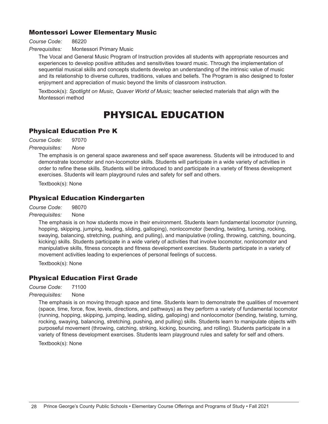## Montessori Lower Elementary Music

*Course Code:* 86220

*Prerequisites:* Montessori Primary Music

The Vocal and General Music Program of Instruction provides all students with appropriate resources and experiences to develop positive attitudes and sensitivities toward music. Through the implementation of sequential musical skills and concepts students develop an understanding of the intrinsic value of music and its relationship to diverse cultures, traditions, values and beliefs. The Program is also designed to foster enjoyment and appreciation of music beyond the limits of classroom instruction.

Textbook(s): *Spotlight on Music, Quaver World of Music;* teacher selected materials that align with the Montessori method

## PHYSICAL EDUCATION

## Physical Education Pre K

*Course Code:* 97070

#### *Prerequisites: None*

The emphasis is on general space awareness and self space awareness. Students will be introduced to and demonstrate locomotor and non-locomotor skills. Students will participate in a wide variety of activities in order to refine these skills. Students will be introduced to and participate in a variety of fitness development exercises. Students will learn playground rules and safety for self and others.

Textbook(s): None

## Physical Education Kindergarten

*Course Code:* 98070

#### *Prerequisites:* None

The emphasis is on how students move in their environment. Students learn fundamental locomotor (running, hopping, skipping, jumping, leading, sliding, galloping), nonlocomotor (bending, twisting, turning, rocking, swaying, balancing, stretching, pushing, and pulling), and manipulative (rolling, throwing, catching, bouncing, kicking) skills. Students participate in a wide variety of activities that involve locomotor, nonlocomotor and manipulative skills, fitness concepts and fitness development exercises. Students participate in a variety of movement activities leading to experiences of personal feelings of success.

Textbook(s): None

## Physical Education First Grade

*Course Code:* 71100

*Prerequisites:* None

The emphasis is on moving through space and time. Students learn to demonstrate the qualities of movement (space, time, force, flow, levels, directions, and pathways) as they perform a variety of fundamental locomotor (running, hopping, skipping, jumping, leading, sliding, galloping) and nonlocomotor (bending, twisting, turning, rocking, swaying, balancing, stretching, pushing, and pulling) skills. Students learn to manipulate objects with purposeful movement (throwing, catching, striking, kicking, bouncing, and rolling). Students participate in a variety of fitness development exercises. Students learn playground rules and safety for self and others.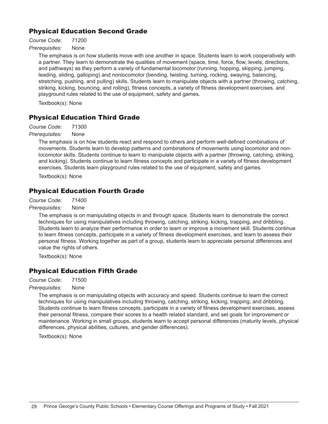## Physical Education Second Grade

*Course Code:* 71200 *Prerequisites:* None

> The emphasis is on how students move with one another in space. Students learn to work cooperatively with a partner. They learn to demonstrate the qualities of movement (space, time, force, flow, levels, directions, and pathways) as they perform a variety of fundamental locomotor (running, hopping, skipping, jumping, leading, sliding, galloping) and nonlocomotor (bending, twisting, turning, rocking, swaying, balancing, stretching, pushing, and pulling) skills. Students learn to manipulate objects with a partner (throwing, catching, striking, kicking, bouncing, and rolling), fitness concepts, a variety of fitness development exercises, and playground rules related to the use of equipment, safety and games.

Textbook(s): None

## Physical Education Third Grade

*Course Code:* 71300

*Prerequisites:* None

The emphasis is on how students react and respond to others and perform well-defined combinations of movements. Students learn to develop patterns and combinations of movements using locomotor and nonlocomotor skills. Students continue to learn to manipulate objects with a partner (throwing, catching, striking, and kicking). Students continue to learn fitness concepts and participate in a variety of fitness development exercises. Students learn playground rules related to the use of equipment, safety and games.

Textbook(s): None

## Physical Education Fourth Grade

*Course Code:* 71400

*Prerequisites:* None

The emphasis is on manipulating objects in and through space. Students learn to demonstrate the correct techniques for using manipulatives including throwing, catching, striking, kicking, trapping, and dribbling. Students learn to analyze their performance in order to learn or improve a movement skill. Students continue to learn fitness concepts, participate in a variety of fitness development exercises, and learn to assess their personal fitness. Working together as part of a group, students learn to appreciate personal differences and value the rights of others.

Textbook(s): None

## Physical Education Fifth Grade

*Course Code:* 71500

*Prerequisites:* None

The emphasis is on manipulating objects with accuracy and speed. Students continue to learn the correct techniques for using manipulatives including throwing, catching, striking, kicking, trapping, and dribbling. Students continue to learn fitness concepts, participate in a variety of fitness development exercises, assess their personal fitness, compare their scores to a health related standard, and set goals for improvement or maintenance. Working in small groups, students learn to accept personal differences (maturity levels, physical differences, physical abilities, cultures, and gender differences).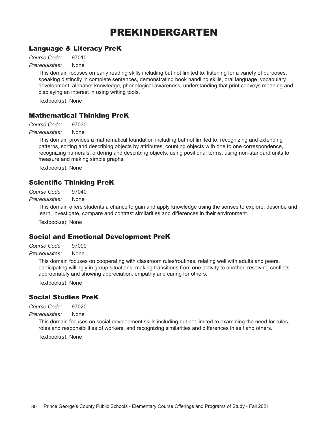## PREKINDERGARTEN

## Language & Literacy PreK

*Course Code:* 97010

*Prerequisites:* None

This domain focuses on early reading skills including but not limited to: listening for a variety of purposes, speaking distinctly in complete sentences, demonstrating book handling skills, oral language, vocabulary development, alphabet knowledge, phonological awareness, understanding that print conveys meaning and displaying an interest in using writing tools.

Textbook(s): None

## Mathematical Thinking PreK

*Course Code:* 97030

*Prerequisites:* None

This domain provides a mathematical foundation including but not limited to: recognizing and extending patterns, sorting and describing objects by attributes, counting objects with one to one correspondence, recognizing numerals, ordering and describing objects, using positional terms, using non-standard units to measure and making simple graphs.

Textbook(s): None

## Scientific Thinking PreK

*Course Code:* 97040

*Prerequisites:* None

This domain offers students a chance to gain and apply knowledge using the senses to explore, describe and learn, investigate, compare and contrast similarities and differences in their environment.

Textbook(s): None

## Social and Emotional Development PreK

*Course Code:* 97090

*Prerequisites:* None

This domain focuses on cooperating with classroom rules/routines, relating well with adults and peers, participating willingly in group situations, making transitions from one activity to another, resolving conflicts appropriately and showing appreciation, empathy and caring for others.

Textbook(s): None

## Social Studies PreK

*Course Code:* 97020

*Prerequisites:* None

This domain focuses on social development skills including but not limited to examining the need for rules, roles and responsibilities of workers, and recognizing similarities and differences in self and others.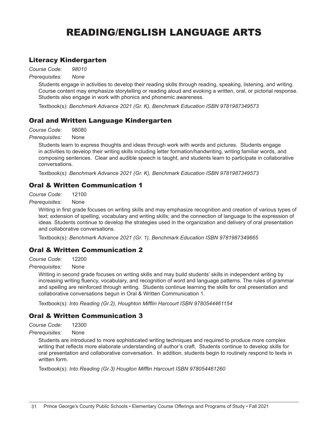## READING/ENGLISH LANGUAGE ARTS

## Literacy Kindergarten

*Course Code: 98010*

*Prerequisites: None*

Students engage in activities to develop their reading skills through reading, speaking, listening, and writing. Course content may emphasize storytelling or reading aloud and evoking a written, oral, or pictorial response. Students also engage in work with phonics and phonemic awareness.

Textbook(s): *Benchmark Advance 2021 (Gr. K), Benchmark Education ISBN 9781987349573*

## Oral and Written Language Kindergarten

*Course Code:* 98080

*Prerequisites:* None

Students learn to express thoughts and ideas through work with words and pictures. Students engage in activities to develop their writing skills including letter formation/handwriting, writing familiar words, and composing sentences. Clear and audible speech is taught, and students learn to participate in collaborative conversations.

Textbook(s): *Benchmark Advance 2021 (Gr. K), Benchmark Education ISBN 9781987349573*

## Oral & Written Communication 1

*Course Code:* 12100

*Prerequisites:* None

Writing in first grade focuses on writing skills and may emphasize recognition and creation of various types of text; extension of spelling, vocabulary and writing skills; and the connection of language to the expression of ideas. Students continue to develop the strategies used in the organization and delivery of oral presentation and collaborative conversations.

Textbook(s): *Benchmark Advance 2021 (Gr. 1), Benchmark Education ISBN 9781987349665*

## Oral & Written Communication 2

*Course Code:* 12200

*Prerequisites:* None

Writing in second grade focuses on writing skills and may build students' skills in independent writing by increasing writing fluency, vocabulary, and recognition of word and language patterns. The rules of grammar and spelling are reinforced through writing. Students continue learning the skills for oral presentation and collaborative conversations begun in Oral & Written Communication 1.

Textbook(s): *Into Reading (Gr.2), Houghton Mifflin Harcourt ISBN 9780544461154*

## Oral & Written Communication 3

*Course Code:* 12300

*Prerequisites:* None

Students are introduced to more sophisticated writing techniques and required to produce more complex writing that reflects more elaborate understanding of author's craft. Students continue to develop skills for oral presentation and collaborative conversation. In addition, students begin to routinely respond to texts in written form.

Textbook(s): *Into Reading (Gr.3) Hougton Mifflin Harcourt ISBN 978054461260*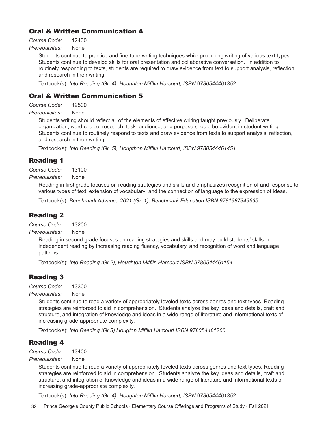## Oral & Written Communication 4

*Course Code:* 12400

*Prerequisites:* None

Students continue to practice and fine-tune writing techniques while producing writing of various text types. Students continue to develop skills for oral presentation and collaborative conversation. In addition to routinely responding to texts, students are required to draw evidence from text to support analysis, reflection, and research in their writing.

Textbook(s): *Into Reading (Gr. 4), Houghton Mifflin Harcourt, ISBN 9780544461352*

## Oral & Written Communication 5

*Course Code:* 12500

*Prerequisites:* None

Students writing should reflect all of the elements of effective writing taught previously. Deliberate organization, word choice, research, task, audience, and purpose should be evident in student writing. Students continue to routinely respond to texts and draw evidence from texts to support analysis, reflection, and research in their writing.

Textbook(s): *Into Reading (Gr. 5), Hougthon Mifflin Harcourt, ISBN 9780544461451*

### Reading 1

*Course Code:* 13100

*Prerequisites:* None

Reading in first grade focuses on reading strategies and skills and emphasizes recognition of and response to various types of text; extension of vocabulary; and the connection of language to the expression of ideas.

Textbook(s): *Benchmark Advance 2021 (Gr. 1), Benchmark Education ISBN 9781987349665*

## Reading 2

*Course Code:* 13200

*Prerequisites:* None

Reading in second grade focuses on reading strategies and skills and may build students' skills in independent reading by increasing reading fluency, vocabulary, and recognition of word and language patterns.

Textbook(s): *Into Reading (Gr.2), Houghton Mifflin Harcourt ISBN 9780544461154*

## Reading 3

*Course Code:* 13300

*Prerequisites:* None

Students continue to read a variety of appropriately leveled texts across genres and text types. Reading strategies are reinforced to aid in comprehension. Students analyze the key ideas and details, craft and structure, and integration of knowledge and ideas in a wide range of literature and informational texts of increasing grade-appropriate complexity.

Textbook(s): *Into Reading (Gr.3) Hougton Mifflin Harcourt ISBN 978054461260*

## Reading 4

*Course Code:* 13400

*Prerequisites:* None

Students continue to read a variety of appropriately leveled texts across genres and text types. Reading strategies are reinforced to aid in comprehension. Students analyze the key ideas and details, craft and structure, and integration of knowledge and ideas in a wide range of literature and informational texts of increasing grade-appropriate complexity.

Textbook(s): *Into Reading (Gr. 4), Houghton Mifflin Harcourt, ISBN 9780544461352*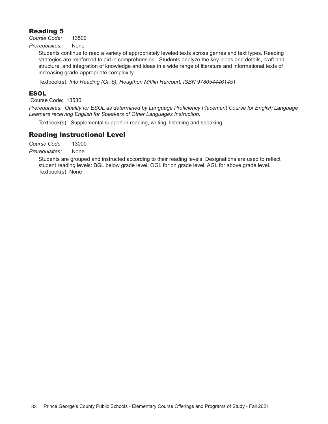## Reading 5

*Course Code:* 13500

*Prerequisites:* None

Students continue to read a variety of appropriately leveled texts across genres and text types. Reading strategies are reinforced to aid in comprehension. Students analyze the key ideas and details, craft and structure, and integration of knowledge and ideas in a wide range of literature and informational texts of increasing grade-appropriate complexity.

Textbook(s): *Into Reading (Gr. 5), Hougthon Mifflin Harcourt, ISBN 9780544461451*

#### ESOL

Course Code: 13530

*Prerequisites: Qualify for ESOL as determined by Language Proficiency Placement Course for English Language Learners receiving English for Speakers of Other Languages Instruction.* 

Textbook(s): Supplemental support in reading, writing, listening and speaking

## Reading Instructional Level

*Course Code:* 13000

*Prerequisites:* None

Students are grouped and instructed according to their reading levels. Designations are used to reflect student reading levels: BGL below grade level, OGL for on grade level, AGL for above grade level. Textbook(s): None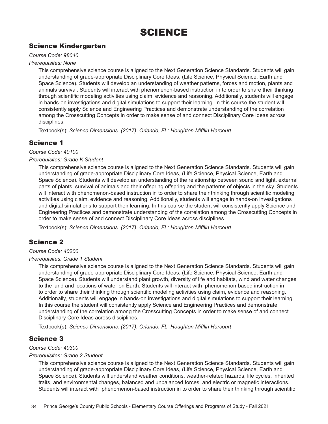## SCIENCE

## Science Kindergarten

#### *Course Code: 98040*

#### *Prerequisites: None*

This comprehensive science course is aligned to the Next Generation Science Standards. Students will gain understanding of grade-appropriate Disciplinary Core Ideas, (Life Science, Physical Science, Earth and Space Science). Students will develop an understanding of weather patterns, forces and motion, plants and animals survival. Students will interact with phenomenon-based instruction in to order to share their thinking through scientific modeling activities using claim, evidence and reasoning. Additionally, students will engage in hands-on investigations and digital simulations to support their learning. In this course the student will consistently apply Science and Engineering Practices and demonstrate understanding of the correlation among the Crosscutting Concepts in order to make sense of and connect Disciplinary Core Ideas across disciplines.

Textbook(s): *Science Dimensions. (2017). Orlando, FL: Houghton Mifflin Harcourt*

## Science 1

#### *Course Code: 40100*

#### *Prerequisites: Grade K Student*

This comprehensive science course is aligned to the Next Generation Science Standards. Students will gain understanding of grade-appropriate Disciplinary Core Ideas, (Life Science, Physical Science, Earth and Space Science). Students will develop an understanding of the relationship between sound and light, external parts of plants, survival of animals and their offspring offspring and the patterns of objects in the sky. Students will interact with phenomenon-based instruction in to order to share their thinking through scientific modeling activities using claim, evidence and reasoning. Additionally, students will engage in hands-on investigations and digital simulations to support their learning. In this course the student will consistently apply Science and Engineering Practices and demonstrate understanding of the correlation among the Crosscutting Concepts in order to make sense of and connect Disciplinary Core Ideas across disciplines.

Textbook(s): *Science Dimensions. (2017). Orlando, FL: Houghton Mifflin Harcourt*

## Science 2

#### *Course Code: 40200*

#### *Prerequisites: Grade 1 Student*

This comprehensive science course is aligned to the Next Generation Science Standards. Students will gain understanding of grade-appropriate Disciplinary Core Ideas, (Life Science, Physical Science, Earth and Space Science). Students will understand plant growth, diversity of life and habitats, wind and water changes to the land and locations of water on Earth. Students will interact with phenomenon-based instruction in to order to share their thinking through scientific modeling activities using claim, evidence and reasoning. Additionally, students will engage in hands-on investigations and digital simulations to support their learning. In this course the student will consistently apply Science and Engineering Practices and demonstrate understanding of the correlation among the Crosscutting Concepts in order to make sense of and connect Disciplinary Core Ideas across disciplines.

Textbook(s): *Science Dimensions. (2017). Orlando, FL: Houghton Mifflin Harcourt*

## Science 3

#### *Course Code: 40300*

#### *Prerequisites: Grade 2 Student*

This comprehensive science course is aligned to the Next Generation Science Standards. Students will gain understanding of grade-appropriate Disciplinary Core Ideas, (Life Science, Physical Science, Earth and Space Science). Students will understand weather conditions, weather-related hazards, life cycles, inherited traits, and environmental changes, balanced and unbalanced forces, and electric or magnetic interactions. Students will interact with phenomenon-based instruction in to order to share their thinking through scientific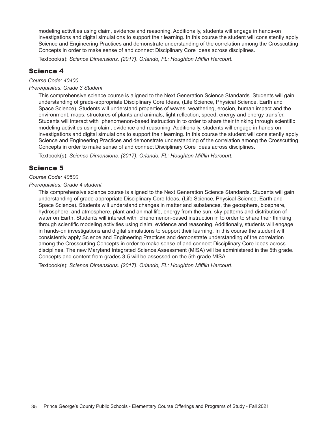modeling activities using claim, evidence and reasoning. Additionally, students will engage in hands-on investigations and digital simulations to support their learning. In this course the student will consistently apply Science and Engineering Practices and demonstrate understanding of the correlation among the Crosscutting Concepts in order to make sense of and connect Disciplinary Core Ideas across disciplines.

Textbook(s): *Science Dimensions. (2017). Orlando, FL: Houghton Mifflin Harcourt.*

## Science 4

*Course Code: 40400* 

#### *Prerequisites: Grade 3 Student*

This comprehensive science course is aligned to the Next Generation Science Standards. Students will gain understanding of grade-appropriate Disciplinary Core Ideas, (Life Science, Physical Science, Earth and Space Science). Students will understand properties of waves, weathering, erosion, human impact and the environment, maps, structures of plants and animals, light reflection, speed, energy and energy transfer. Students will interact with phenomenon-based instruction in to order to share their thinking through scientific modeling activities using claim, evidence and reasoning. Additionally, students will engage in hands-on investigations and digital simulations to support their learning. In this course the student will consistently apply Science and Engineering Practices and demonstrate understanding of the correlation among the Crosscutting Concepts in order to make sense of and connect Disciplinary Core Ideas across disciplines.

Textbook(s): *Science Dimensions. (2017). Orlando, FL: Houghton Mifflin Harcourt.*

## Science 5

### *Course Code: 40500*

#### *Prerequisites: Grade 4 student*

This comprehensive science course is aligned to the Next Generation Science Standards. Students will gain understanding of grade-appropriate Disciplinary Core Ideas, (Life Science, Physical Science, Earth and Space Science). Students will understand changes in matter and substances, the geosphere, biosphere, hydrosphere, and atmosphere, plant and animal life, energy from the sun, sky patterns and distribution of water on Earth. Students will interact with phenomenon-based instruction in to order to share their thinking through scientific modeling activities using claim, evidence and reasoning. Additionally, students will engage in hands-on investigations and digital simulations to support their learning. In this course the student will consistently apply Science and Engineering Practices and demonstrate understanding of the correlation among the Crosscutting Concepts in order to make sense of and connect Disciplinary Core Ideas across disciplines. The new Maryland Integrated Science Assessment (MISA) will be administered in the 5th grade. Concepts and content from grades 3-5 will be assessed on the 5th grade MISA.

Textbook(s): *Science Dimensions. (2017). Orlando, FL: Houghton Mifflin Harcourt.*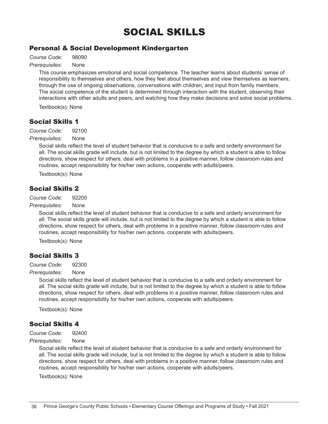## SOCIAL SKILLS

## Personal & Social Development Kindergarten

*Course Code:* 98090

### *Prerequisites:* None

This course emphasizes emotional and social competence. The teacher learns about students' sense of responsibility to themselves and others, how they feel about themselves and view themselves as learners, through the use of ongoing observations, conversations with children, and input from family members. The social competence of the student is determined through interaction with the student, observing their interactions with other adults and peers, and watching how they make decisions and solve social problems.

Textbook(s): None

## Social Skills 1

*Course Code:* 92100

#### *Prerequisites:* None

Social skills reflect the level of student behavior that is conducive to a safe and orderly environment for all. The social skills grade will include, but is not limited to the degree by which a student is able to follow directions, show respect for others, deal with problems in a positive manner, follow classroom rules and routines, accept responsibility for his/her own actions, cooperate with adults/peers.

Textbook(s): None

## Social Skills 2

*Course Code:* 92200

#### *Prerequisites:* None

Social skills reflect the level of student behavior that is conducive to a safe and orderly environment for all. The social skills grade will include, but is not limited to the degree by which a student is able to follow directions, show respect for others, deal with problems in a positive manner, follow classroom rules and routines, accept responsibility for his/her own actions, cooperate with adults/peers.

Textbook(s): None

## Social Skills 3

*Course Code:* 92300

#### *Prerequisites:* None

Social skills reflect the level of student behavior that is conducive to a safe and orderly environment for all. The social skills grade will include, but is not limited to the degree by which a student is able to follow directions, show respect for others, deal with problems in a positive manner, follow classroom rules and routines, accept responsibility for his/her own actions, cooperate with adults/peers.

Textbook(s): None

## Social Skills 4

*Course Code:* 92400

*Prerequisites:* None

Social skills reflect the level of student behavior that is conducive to a safe and orderly environment for all. The social skills grade will include, but is not limited to the degree by which a student is able to follow directions, show respect for others, deal with problems in a positive manner, follow classroom rules and routines, accept responsibility for his/her own actions, cooperate with adults/peers.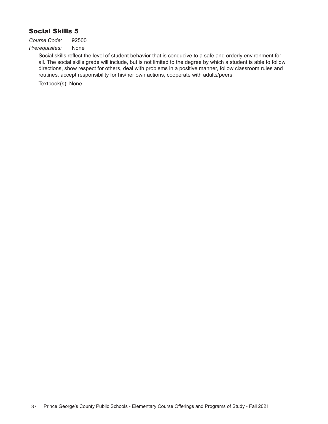## Social Skills 5

*Course Code:* 92500

*Prerequisites:* None

Social skills reflect the level of student behavior that is conducive to a safe and orderly environment for all. The social skills grade will include, but is not limited to the degree by which a student is able to follow directions, show respect for others, deal with problems in a positive manner, follow classroom rules and routines, accept responsibility for his/her own actions, cooperate with adults/peers.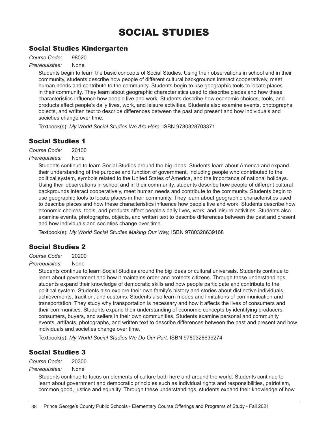## SOCIAL STUDIES

## Social Studies Kindergarten

*Course Code:* 98020

*Prerequisites:* None

Students begin to learn the basic concepts of Social Studies. Using their observations in school and in their community, students describe how people of different cultural backgrounds interact cooperatively, meet human needs and contribute to the community. Students begin to use geographic tools to locate places in their community. They learn about geographic characteristics used to describe places and how these characteristics influence how people live and work. Students describe how economic choices, tools, and products affect people's daily lives, work, and leisure activities. Students also examine events, photographs, objects, and written text to describe differences between the past and present and how individuals and societies change over time.

Textbook(s): *My World Social Studies We Are Here,* ISBN 9780328703371

## Social Studies 1

*Course Code:* 20100

#### *Prerequisites:* None

Students continue to learn Social Studies around the big ideas. Students learn about America and expand their understanding of the purpose and function of government, including people who contributed to the political system, symbols related to the United States of America, and the importance of national holidays. Using their observations in school and in their community, students describe how people of different cultural backgrounds interact cooperatively, meet human needs and contribute to the community. Students begin to use geographic tools to locate places in their community. They learn about geographic characteristics used to describe places and how these characteristics influence how people live and work. Students describe how economic choices, tools, and products affect people's daily lives, work, and leisure activities. Students also examine events, photographs, objects, and written text to describe differences between the past and present and how individuals and societies change over time.

Textbook(s): *My World Social Studies Making Our Way,* ISBN 9780328639168

## Social Studies 2

*Course Code:* 20200

#### *Prerequisites:* None

Students continue to learn Social Studies around the big ideas or cultural universals. Students continue to learn about government and how it maintains order and protects citizens. Through these understandings, students expand their knowledge of democratic skills and how people participate and contribute to the political system. Students also explore their own family's history and stories about distinctive individuals, achievements, tradition, and customs. Students also learn modes and limitations of communication and transportation. They study why transportation is necessary and how it affects the lives of consumers and their communities. Students expand their understanding of economic concepts by identifying producers, consumers, buyers, and sellers in their own communities. Students examine personal and community events, artifacts, photographs, and written text to describe differences between the past and present and how individuals and societies change over time.

Textbook(s): *My World Social Studies We Do Our Part,* ISBN 9780328639274

## Social Studies 3

*Course Code:* 20300

#### *Prerequisites:* None

Students continue to focus on elements of culture both here and around the world. Students continue to learn about government and democratic principles such as individual rights and responsibilities, patriotism, common good, justice and equality. Through these understandings, students expand their knowledge of how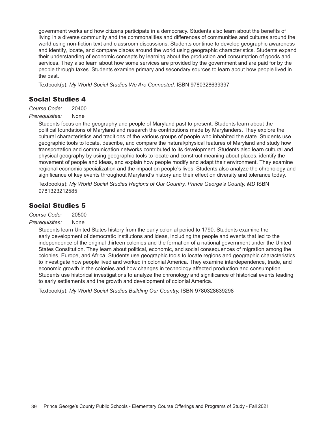government works and how citizens participate in a democracy. Students also learn about the benefits of living in a diverse community and the commonalities and differences of communities and cultures around the world using non-fiction text and classroom discussions. Students continue to develop geographic awareness and identify, locate, and compare places around the world using geographic characteristics. Students expand their understanding of economic concepts by learning about the production and consumption of goods and services. They also learn about how some services are provided by the government and are paid for by the people through taxes. Students examine primary and secondary sources to learn about how people lived in the past.

Textbook(s): *My World Social Studies We Are Connected,* ISBN 9780328639397

## Social Studies 4

*Course Code:* 20400

#### *Prerequisites:* None

Students focus on the geography and people of Maryland past to present. Students learn about the political foundations of Maryland and research the contributions made by Marylanders. They explore the cultural characteristics and traditions of the various groups of people who inhabited the state. Students use geographic tools to locate, describe, and compare the natural/physical features of Maryland and study how transportation and communication networks contributed to its development. Students also learn cultural and physical geography by using geographic tools to locate and construct meaning about places, identify the movement of people and ideas, and explain how people modify and adapt their environment. They examine regional economic specialization and the impact on people's lives. Students also analyze the chronology and significance of key events throughout Maryland's history and their effect on diversity and tolerance today.

Textbook(s): My World Social Studies Regions of Our Country, Prince George's County, MD ISBN 9781323212585

## Social Studies 5

*Course Code:* 20500

#### *Prerequisites:* None

Students learn United States history from the early colonial period to 1790. Students examine the early development of democratic institutions and ideas, including the people and events that led to the independence of the original thirteen colonies and the formation of a national government under the United States Constitution. They learn about political, economic, and social consequences of migration among the colonies, Europe, and Africa. Students use geographic tools to locate regions and geographic characteristics to investigate how people lived and worked in colonial America. They examine interdependence, trade, and economic growth in the colonies and how changes in technology affected production and consumption. Students use historical investigations to analyze the chronology and significance of historical events leading to early settlements and the growth and development of colonial America.

Textbook(s): *My World Social Studies Building Our Country,* ISBN 9780328639298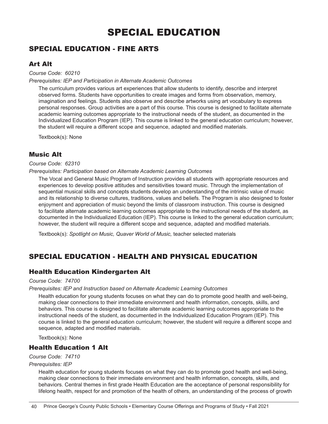## SPECIAL EDUCATION

## SPECIAL EDUCATION - FINE ARTS

## Art Alt

*Course Code: 60210*

#### *Prerequisites: IEP and Participation in Alternate Academic Outcomes*

The curriculum provides various art experiences that allow students to identify, describe and interpret observed forms. Students have opportunities to create images and forms from observation, memory, imagination and feelings. Students also observe and describe artworks using art vocabulary to express personal responses. Group activities are a part of this course. This course is designed to facilitate alternate academic learning outcomes appropriate to the instructional needs of the student, as documented in the Individualized Education Program (IEP). This course is linked to the general education curriculum; however, the student will require a different scope and sequence, adapted and modified materials.

Textbook(s): None

## Music Alt

#### *Course Code: 62310*

#### *Prerequisites: Participation based on Alternate Academic Learning Outcomes*

The Vocal and General Music Program of Instruction provides all students with appropriate resources and experiences to develop positive attitudes and sensitivities toward music. Through the implementation of sequential musical skills and concepts students develop an understanding of the intrinsic value of music and its relationship to diverse cultures, traditions, values and beliefs. The Program is also designed to foster enjoyment and appreciation of music beyond the limits of classroom instruction. This course is designed to facilitate alternate academic learning outcomes appropriate to the instructional needs of the student, as documented in the Individualized Education (IEP). This course is linked to the general education curriculum; however, the student will require a different scope and sequence, adapted and modified materials.

Textbook(s): *Spotlight on Music, Quaver World of Music,* teacher selected materials

## SPECIAL EDUCATION - HEALTH AND PHYSICAL EDUCATION

## Health Education Kindergarten Alt

#### *Course Code: 74700*

#### *Prerequisites: IEP and Instruction based on Alternate Academic Learning Outcomes*

Health education for young students focuses on what they can do to promote good health and well-being, making clear connections to their immediate environment and health information, concepts, skills, and behaviors. This course is designed to facilitate alternate academic learning outcomes appropriate to the instructional needs of the student, as documented in the Individualized Education Program (IEP). This course is linked to the general education curriculum; however, the student will require a different scope and sequence, adapted and modified materials.

Textbook(s): None

## Health Education 1 Alt

#### *Course Code: 74710*

#### *Prerequisites: IEP*

Health education for young students focuses on what they can do to promote good health and well-being, making clear connections to their immediate environment and health information, concepts, skills, and behaviors. Central themes in first grade Health Education are the acceptance of personal responsibility for lifelong health, respect for and promotion of the health of others, an understanding of the process of growth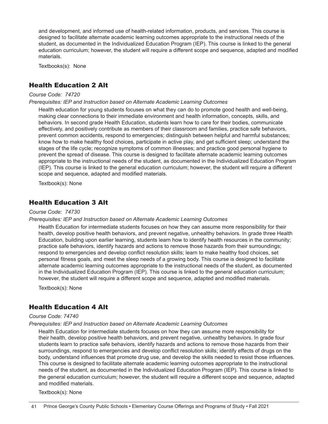and development, and informed use of health-related information, products, and services. This course is designed to facilitate alternate academic learning outcomes appropriate to the instructional needs of the student, as documented in the Individualized Education Program (IEP). This course is linked to the general education curriculum; however, the student will require a different scope and sequence, adapted and modified materials.

Textbooks(s): None

## Health Education 2 Alt

#### *Course Code: 74720*

#### *Prerequisites: IEP and Instruction based on Alternate Academic Learning Outcomes*

Health education for young students focuses on what they can do to promote good health and well-being, making clear connections to their immediate environment and health information, concepts, skills, and behaviors. In second grade Health Education, students learn how to care for their bodies, communicate effectively, and positively contribute as members of their classroom and families, practice safe behaviors, prevent common accidents, respond to emergencies; distinguish between helpful and harmful substances; know how to make healthy food choices, participate in active play, and get sufficient sleep; understand the stages of the life cycle; recognize symptoms of common illnesses; and practice good personal hygiene to prevent the spread of disease. This course is designed to facilitate alternate academic learning outcomes appropriate to the instructional needs of the student, as documented in the Individualized Education Program (IEP). This course is linked to the general education curriculum; however, the student will require a different scope and sequence, adapted and modified materials.

Textbook(s): None

## Health Education 3 Alt

#### *Course Code: 74730*

#### *Prerequisites: IEP and Instruction based on Alternate Academic Learning Outcomes*

Health Education for intermediate students focuses on how they can assume more responsibility for their health, develop positive health behaviors, and prevent negative, unhealthy behaviors. In grade three Health Education, building upon earlier learning, students learn how to identify health resources in the community; practice safe behaviors, identify hazards and actions to remove those hazards from their surroundings; respond to emergencies and develop conflict resolution skills; learn to make healthy food choices, set personal fitness goals, and meet the sleep needs of a growing body. This course is designed to facilitate alternate academic learning outcomes appropriate to the instructional needs of the student, as documented in the Individualized Education Program (IEP). This course is linked to the general education curriculum; however, the student will require a different scope and sequence, adapted and modified materials.

Textbook(s): None

## Health Education 4 Alt

#### *Course Code: 74740*

#### *Prerequisites: IEP and Instruction based on Alternate Academic Learning Outcomes*

Health Education for intermediate students focuses on how they can assume more responsibility for their health, develop positive health behaviors, and prevent negative, unhealthy behaviors. In grade four students learn to practice safe behaviors, identify hazards and actions to remove those hazards from their surroundings, respond to emergencies and develop conflict resolution skills; identify effects of drugs on the body, understand influences that promote drug use, and develop the skills needed to resist those influences. This course is designed to facilitate alternate academic learning outcomes appropriate to the instructional needs of the student, as documented in the Individualized Education Program (IEP). This course is linked to the general education curriculum; however, the student will require a different scope and sequence, adapted and modified materials.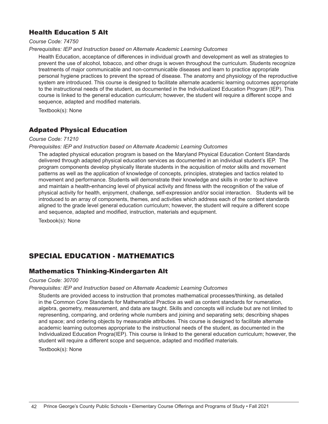## Health Education 5 Alt

*Course Code: 74750*

#### *Prerequisites: IEP and Instruction based on Alternate Academic Learning Outcomes*

Health Education, acceptance of differences in individual growth and development as well as strategies to prevent the use of alcohol, tobacco, and other drugs is woven throughout the curriculum. Students recognize treatments of major communicable and non-communicable diseases and learn to practice appropriate personal hygiene practices to prevent the spread of disease. The anatomy and physiology of the reproductive system are introduced. This course is designed to facilitate alternate academic learning outcomes appropriate to the instructional needs of the student, as documented in the Individualized Education Program (IEP). This course is linked to the general education curriculum; however, the student will require a different scope and sequence, adapted and modified materials.

Textbook(s): None

## Adpated Physical Education

#### *Course Code: 71210*

#### *Prerequisites: IEP and Instruction based on Alternate Academic Learning Outcomes*

The adapted physical education program is based on the Maryland Physical Education Content Standards delivered through adapted physical education services as documented in an individual student's IEP. The program components develop physically literate students in the acquisition of motor skills and movement patterns as well as the application of knowledge of concepts, principles, strategies and tactics related to movement and performance. Students will demonstrate their knowledge and skills in order to achieve and maintain a health-enhancing level of physical activity and fitness with the recognition of the value of physical activity for health, enjoyment, challenge, self-expression and/or social interaction. Students will be introduced to an array of components, themes, and activities which address each of the content standards aligned to the grade level general education curriculum; however, the student will require a different scope and sequence, adapted and modified, instruction, materials and equipment.

Texbook(s): None

## SPECIAL EDUCATION - MATHEMATICS

## Mathematics Thinking-Kindergarten Alt

#### *Course Code: 30700*

#### *Prerequisites: IEP and Instruction based on Alternate Academic Learning Outcomes*

Students are provided access to instruction that promotes mathematical processes/thinking, as detailed in the Common Core Standards for Mathematical Practice as well as content standards for numeration, algebra, geometry, measurement, and data are taught. Skills and concepts will include but are not limited to representing, comparing, and ordering whole numbers and joining and separating sets; describing shapes and space; and ordering objects by measurable attributes. This course is designed to facilitate alternate academic learning outcomes appropriate to the instructional needs of the student, as documented in the Individualized Education Progra(IEP). This course is linked to the general education curriculum; however, the student will require a different scope and sequence, adapted and modified materials.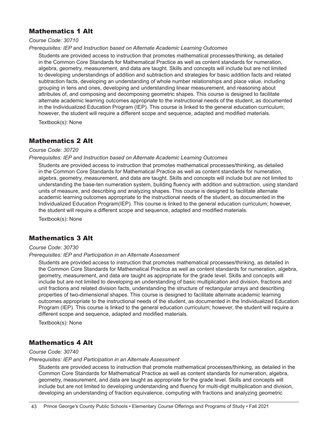## Mathematics 1 Alt

*Course Code: 30710*

#### *Prerequisites: IEP and Instruction based on Alternate Academic Learning Outcomes*

Students are provided access to instruction that promotes mathematical processes/thinking, as detailed in the Common Core Standards for Mathematical Practice as well as content standards for numeration, algebra, geometry, measurement, and data are taught. Skills and concepts will include but are not limited to developing understandings of addition and subtraction and strategies for basic addition facts and related subtraction facts, developing an understanding of whole number relationships and place value, including grouping in tens and ones, developing and understanding linear measurement, and reasoning about attributes of, and composing and decomposing geometric shapes. This course is designed to facilitate alternate academic learning outcomes appropriate to the instructional needs of the student, as documented in the Individualized Education Program (IEP). This course is linked to the general education curriculum; however, the student will require a different scope and sequence, adapted and modified materials.

Textbook(s): None

### Mathematics 2 Alt

#### *Course Code: 30720*

#### *Prerequisites: IEP and Instruction based on Alternate Academic Learning Outcomes*

Students are provided access to instruction that promotes mathematical processes/thinking, as detailed in the Common Core Standards for Mathematical Practice as well as content standards for numeration, algebra, geometry, measurement, and data are taught. Skills and concepts will include but are not limited to understanding the base-ten numeration system, building fluency with addition and subtraction, using standard units of measure, and describing and analyzing shapes. This course is designed to facilitate alternate academic learning outcomes appropriate to the instructional needs of the student, as documented in the Individualized Education Program(IEP). This course is linked to the general education curriculum; however, the student will require a different scope and sequence, adapted and modified materials.

Textbook(s): None

## Mathematics 3 Alt

#### *Course Code: 30730*

#### *Prerequisites: IEP and Participation in an Alternate Assessment*

Students are provided access to instruction that promotes mathematical processes/thinking, as detailed in the Common Core Standards for Mathematical Practice as well as content standards for numeration, algebra, geometry, measurement, and data are taught as appropriate for the grade level. Skills and concepts will include but are not limited to developing an understanding of basic multiplication and division, fractions and unit fractions and related division facts, understanding the structure of rectangular arrays and describing properties of two-dimensional shapes. This course is designed to facilitate alternate academic learning outcomes appropriate to the instructional needs of the student, as documented in the Individualized Education Program (IEP). This course is linked to the general education curriculum; however, the student will require a different scope and sequence, adapted and modified materials.

Textbook(s): None

## Mathematics 4 Alt

#### *Course Code: 30740*

#### *Prerequisites: IEP and Participation in an Alternate Assessment*

Students are provided access to instruction that promote mathematical processes/thinking, as detailed in the Common Core Standards for Mathematical Practice as well as content standards for numeration, algebra, geometry, measurement, and data are taught as appropriate for the grade level. Skills and concepts will include but are not limited to developing understanding and fluency for multi-digit multiplication and division, developing an understanding of fraction equivalence, computing with fractions and analyzing geometric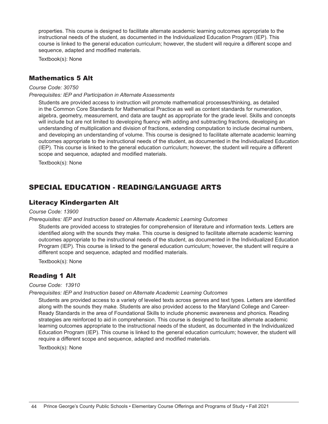properties. This course is designed to facilitate alternate academic learning outcomes appropriate to the instructional needs of the student, as documented in the Individualized Education Program (IEP). This course is linked to the general education curriculum; however, the student will require a different scope and sequence, adapted and modified materials.

Textbook(s): None

### Mathematics 5 Alt

#### *Course Code: 30750*

*Prerequisites: IEP and Participation in Alternate Assessments*

Students are provided access to instruction will promote mathematical processes/thinking, as detailed in the Common Core Standards for Mathematical Practice as well as content standards for numeration, algebra, geometry, measurement, and data are taught as appropriate for the grade level. Skills and concepts will include but are not limited to developing fluency with adding and subtracting fractions, developing an understanding of multiplication and division of fractions, extending computation to include decimal numbers, and developing an understanding of volume. This course is designed to facilitate alternate academic learning outcomes appropriate to the instructional needs of the student, as documented in the Individualized Education (IEP). This course is linked to the general education curriculum; however, the student will require a different scope and sequence, adapted and modified materials.

Textbook(s): None

## SPECIAL EDUCATION - READING/LANGUAGE ARTS

#### Literacy Kindergarten Alt

#### *Course Code: 13900*

#### *Prerequisites: IEP and Instruction based on Alternate Academic Learning Outcomes*

Students are provided access to strategies for comprehension of literature and information texts. Letters are identified along with the sounds they make. This course is designed to facilitate alternate academic learning outcomes appropriate to the instructional needs of the student, as documented in the Individualized Education Program (IEP). This course is linked to the general education curriculum; however, the student will require a different scope and sequence, adapted and modified materials.

Textbook(s): None

## Reading 1 Alt

#### *Course Code: 13910*

#### *Prerequisites: IEP and Instruction based on Alternate Academic Learning Outcomes*

Students are provided access to a variety of leveled texts across genres and text types. Letters are identified along with the sounds they make. Students are also provided access to the Maryland College and Career-Ready Standards in the area of Foundational Skills to include phonemic awareness and phonics. Reading strategies are reinforced to aid in comprehension. This course is designed to facilitate alternate academic learning outcomes appropriate to the instructional needs of the student, as documented in the Individualized Education Program (IEP). This course is linked to the general education curriculum; however, the student will require a different scope and sequence, adapted and modified materials.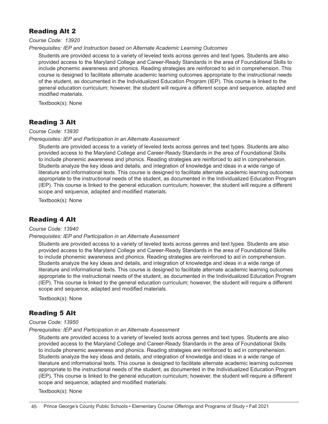## Reading Alt 2

*Course Code: 13920*

#### *Prerequisites: IEP and Instruction based on Alternate Academic Learning Outcomes*

Students are provided access to a variety of leveled texts across genres and text types. Students are also provided access to the Maryland College and Career-Ready Standards in the area of Foundational Skills to include phonemic awareness and phonics. Reading strategies are reinforced to aid in comprehension. This course is designed to facilitate alternate academic learning outcomes appropriate to the instructional needs of the student, as documented in the Individualized Education Program (IEP). This course is linked to the general education curriculum; however, the student will require a different scope and sequence, adapted and modified materials.

Textbook(s): None

## Reading 3 Alt

#### *Course Code: 13930*

#### *Prerequisites: IEP and Participation in an Alternate Assessment*

Students are provided access to a variety of leveled texts across genres and text types. Students are also provided access to the Maryland College and Career-Ready Standards in the area of Foundational Skills to include phonemic awareness and phonics. Reading strategies are reinforced to aid in comprehension. Students analyze the key ideas and details, and integration of knowledge and ideas in a wide range of literature and informational texts. This course is designed to facilitate alternate academic learning outcomes appropriate to the instructional needs of the student, as documented in the Individualized Education Program (IEP). This course is linked to the general education curriculum; however, the student will require a different scope and sequence, adapted and modified materials.

Textbook(s): None

## Reading 4 Alt

#### *Course Code: 13940*

#### *Prerequisites: IEP and Participation in an Alternate Assessment*

Students are provided access to a variety of leveled texts across genres and text types. Students are also provided access to the Maryland College and Career-Ready Standards in the area of Foundational Skills to include phonemic awareness and phonics. Reading strategies are reinforced to aid in comprehension. Students analyze the key ideas and details, and integration of knowledge and ideas in a wide range of literature and informational texts. This course is designed to facilitate alternate academic learning outcomes appropriate to the instructional needs of the student, as documented in the Individualized Education Program (IEP). This course is linked to the general education curriculum; however, the student will require a different scope and sequence, adapted and modified materials.

Textbook(s): None

## Reading 5 Alt

#### *Course Code: 13950*

#### *Prerequisites: IEP and Participation in an Alternate Assessment*

Students are provided access to a variety of leveled texts across genres and text types. Students are also provided access to the Maryland College and Career-Ready Standards in the area of Foundational Skills to include phonemic awareness and phonics. Reading strategies are reinforced to aid in comprehension. Students analyze the key ideas and details, and integration of knowledge and ideas in a wide range of literature and informational texts. This course is designed to facilitate alternate academic learning outcomes appropriate to the instructional needs of the student, as documented in the Individualized Education Program (IEP). This course is linked to the general education curriculum; however, the student will require a different scope and sequence, adapted and modified materials.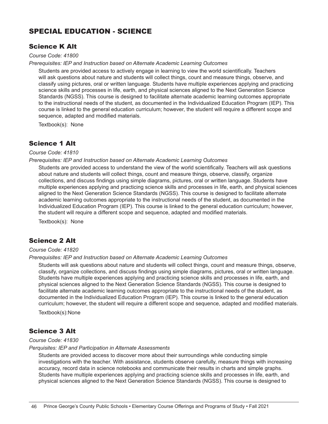## SPECIAL EDUCATION - SCIENCE

## Science K Alt

*Course Code: 41800*

*Prerequisites: IEP and Instruction based on Alternate Academic Learning Outcomes*

Students are provided access to actively engage in learning to view the world scientifically. Teachers will ask questions about nature and students will collect things, count and measure things, observe, and classify using pictures, oral or written language. Students have multiple experiences applying and practicing science skills and processes in life, earth, and physical sciences aligned to the Next Generation Science Standards (NGSS). This course is designed to facilitate alternate academic learning outcomes appropriate to the instructional needs of the student, as documented in the Individualized Education Program (IEP). This course is linked to the general education curriculum; however, the student will require a different scope and sequence, adapted and modified materials.

Textbook(s): None

## Science 1 Alt

#### *Course Code: 41810*

#### *Prerequisites: IEP and Instruction based on Alternate Academic Learning Outcomes*

Students are provided access to understand the view of the world scientifically. Teachers will ask questions about nature and students will collect things, count and measure things, observe, classify, organize collections, and discuss findings using simple diagrams, pictures, oral or written language. Students have multiple experiences applying and practicing science skills and processes in life, earth, and physical sciences aligned to the Next Generation Science Standards (NGSS). This course is designed to facilitate alternate academic learning outcomes appropriate to the instructional needs of the student, as documented in the Individualized Education Program (IEP). This course is linked to the general education curriculum; however, the student will require a different scope and sequence, adapted and modified materials.

Textbook(s): None

## Science 2 Alt

#### *Course Code: 41820*

#### *Prerequisites: IEP and Instruction based on Alternate Academic Learning Outcomes*

Students will ask questions about nature and students will collect things, count and measure things, observe, classify, organize collections, and discuss findings using simple diagrams, pictures, oral or written language. Students have multiple experiences applying and practicing science skills and processes in life, earth, and physical sciences aligned to the Next Generation Science Standards (NGSS). This course is designed to facilitate alternate academic learning outcomes appropriate to the instructional needs of the student, as documented in the Individualized Education Program (IEP). This course is linked to the general education curriculum; however, the student will require a different scope and sequence, adapted and modified materials.

Textbook(s):None

## Science 3 Alt

#### *Course Code: 41830*

#### *Perquisites: IEP and Participation in Alternate Assessments*

Students are provided access to discover more about their surroundings while conducting simple investigations with the teacher. With assistance, students observe carefully, measure things with increasing accuracy, record data in science notebooks and communicate their results in charts and simple graphs. Students have multiple experiences applying and practicing science skills and processes in life, earth, and physical sciences aligned to the Next Generation Science Standards (NGSS). This course is designed to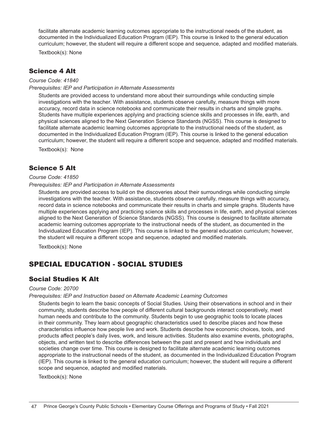facilitate alternate academic learning outcomes appropriate to the instructional needs of the student, as documented in the Individualized Education Program (IEP). This course is linked to the general education curriculum; however, the student will require a different scope and sequence, adapted and modified materials.

Textbook(s): None

### Science 4 Alt

*Course Code: 41840*

*Prerequisites: IEP and Participation in Alternate Assessments*

Students are provided access to understand more about their surroundings while conducting simple investigations with the teacher. With assistance, students observe carefully, measure things with more accuracy, record data in science notebooks and communicate their results in charts and simple graphs. Students have multiple experiences applying and practicing science skills and processes in life, earth, and physical sciences aligned to the Next Generation Science Standards (NGSS). This course is designed to facilitate alternate academic learning outcomes appropriate to the instructional needs of the student, as documented in the Individualized Education Program (IEP). This course is linked to the general education curriculum; however, the student will require a different scope and sequence, adapted and modified materials.

Textbook(s): None

## Science 5 Alt

#### *Course Code: 41850*

#### *Prerequisites: IEP and Participation in Alternate Assessments*

Students are provided access to build on the discoveries about their surroundings while conducting simple investigations with the teacher. With assistance, students observe carefully, measure things with accuracy, record data in science notebooks and communicate their results in charts and simple graphs. Students have multiple experiences applying and practicing science skills and processes in life, earth, and physical sciences aligned to the Next Generation of Science Standards (NGSS). This course is designed to facilitate alternate academic learning outcomes appropriate to the instructional needs of the student, as documented in the Individualized Education Program (IEP). This course is linked to the general education curriculum; however, the student will require a different scope and sequence, adapted and modified materials.

Textbook(s): None

## SPECIAL EDUCATION - SOCIAL STUDIES

## Social Studies K Alt

#### *Course Code: 20700*

#### *Prerequisites: IEP and Instruction based on Alternate Academic Learning Outcomes*

Students begin to learn the basic concepts of Social Studies. Using their observations in school and in their community, students describe how people of different cultural backgrounds interact cooperatively, meet human needs and contribute to the community. Students begin to use geographic tools to locate places in their community. They learn about geographic characteristics used to describe places and how these characteristics influence how people live and work. Students describe how economic choices, tools, and products affect people's daily lives, work, and leisure activities. Students also examine events, photographs, objects, and written text to describe differences between the past and present and how individuals and societies change over time. This course is designed to facilitate alternate academic learning outcomes appropriate to the instructional needs of the student, as documented in the Individualized Education Program (IEP). This course is linked to the general education curriculum; however, the student will require a different scope and sequence, adapted and modified materials.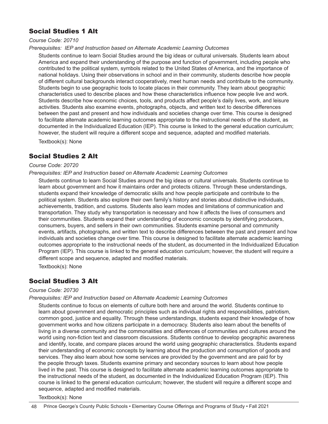## Social Studies 1 Alt

#### *Course Code: 20710*

*Prerequisites: IEP and Instruction based on Alternate Academic Learning Outcomes*

Students continue to learn Social Studies around the big ideas or cultural universals. Students learn about America and expand their understanding of the purpose and function of government, including people who contributed to the political system, symbols related to the United States of America, and the importance of national holidays. Using their observations in school and in their community, students describe how people of different cultural backgrounds interact cooperatively, meet human needs and contribute to the community. Students begin to use geographic tools to locate places in their community. They learn about geographic characteristics used to describe places and how these characteristics influence how people live and work. Students describe how economic choices, tools, and products affect people's daily lives, work, and leisure activities. Students also examine events, photographs, objects, and written text to describe differences between the past and present and how individuals and societies change over time. This course is designed to facilitate alternate academic learning outcomes appropriate to the instructional needs of the student, as documented in the Individualized Education (IEP). This course is linked to the general education curriculum; however, the student will require a different scope and sequence, adapted and modified materials.

Textbook(s): None

## Social Studies 2 Alt

#### *Course Code: 20720*

#### *Prerequisites: IEP and Instruction based on Alternate Academic Learning Outcomes*

Students continue to learn Social Studies around the big ideas or cultural universals. Students continue to learn about government and how it maintains order and protects citizens. Through these understandings, students expand their knowledge of democratic skills and how people participate and contribute to the political system. Students also explore their own family's history and stories about distinctive individuals, achievements, tradition, and customs. Students also learn modes and limitations of communication and transportation. They study why transportation is necessary and how it affects the lives of consumers and their communities. Students expand their understanding of economic concepts by identifying producers, consumers, buyers, and sellers in their own communities. Students examine personal and community events, artifacts, photographs, and written text to describe differences between the past and present and how individuals and societies change over time. This course is designed to facilitate alternate academic learning outcomes appropriate to the instructional needs of the student, as documented in the Individualized Education Program (IEP). This course is linked to the general education curriculum; however, the student will require a different scope and sequence, adapted and modified materials.

Textbook(s): None

#### Social Studies 3 Alt

#### *Course Code: 20730*

#### *Prerequisites: IEP and Instruction based on Alternate Academic Learning Outcomes*

Students continue to focus on elements of culture both here and around the world. Students continue to learn about government and democratic principles such as individual rights and responsibilities, patriotism, common good, justice and equality. Through these understandings, students expand their knowledge of how government works and how citizens participate in a democracy. Students also learn about the benefits of living in a diverse community and the commonalities and differences of communities and cultures around the world using non-fiction text and classroom discussions. Students continue to develop geographic awareness and identify, locate, and compare places around the world using geographic characteristics. Students expand their understanding of economic concepts by learning about the production and consumption of goods and services. They also learn about how some services are provided by the government and are paid for by the people through taxes. Students examine primary and secondary sources to learn about how people lived in the past. This course is designed to facilitate alternate academic learning outcomes appropriate to the instructional needs of the student, as documented in the Individualized Education Program (IEP). This course is linked to the general education curriculum; however, the student will require a different scope and sequence, adapted and modified materials.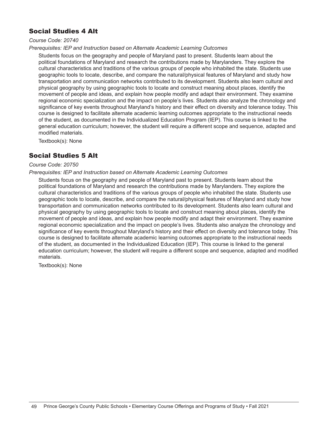## Social Studies 4 Alt

#### *Course Code: 20740*

*Prerequisites: IEP and Instruction based on Alternate Academic Learning Outcomes*

Students focus on the geography and people of Maryland past to present. Students learn about the political foundations of Maryland and research the contributions made by Marylanders. They explore the cultural characteristics and traditions of the various groups of people who inhabited the state. Students use geographic tools to locate, describe, and compare the natural/physical features of Maryland and study how transportation and communication networks contributed to its development. Students also learn cultural and physical geography by using geographic tools to locate and construct meaning about places, identify the movement of people and ideas, and explain how people modify and adapt their environment. They examine regional economic specialization and the impact on people's lives. Students also analyze the chronology and significance of key events throughout Maryland's history and their effect on diversity and tolerance today. This course is designed to facilitate alternate academic learning outcomes appropriate to the instructional needs of the student, as documented in the Individualized Education Program (IEP). This course is linked to the general education curriculum; however, the student will require a different scope and sequence, adapted and modified materials.

Textbook(s): None

## Social Studies 5 Alt

#### *Course Code: 20750*

#### *Prerequisites: IEP and Instruction based on Alternate Academic Learning Outcomes*

Students focus on the geography and people of Maryland past to present. Students learn about the political foundations of Maryland and research the contributions made by Marylanders. They explore the cultural characteristics and traditions of the various groups of people who inhabited the state. Students use geographic tools to locate, describe, and compare the natural/physical features of Maryland and study how transportation and communication networks contributed to its development. Students also learn cultural and physical geography by using geographic tools to locate and construct meaning about places, identify the movement of people and ideas, and explain how people modify and adapt their environment. They examine regional economic specialization and the impact on people's lives. Students also analyze the chronology and significance of key events throughout Maryland's history and their effect on diversity and tolerance today. This course is designed to facilitate alternate academic learning outcomes appropriate to the instructional needs of the student, as documented in the Individualized Education (IEP). This course is linked to the general education curriculum; however, the student will require a different scope and sequence, adapted and modified materials.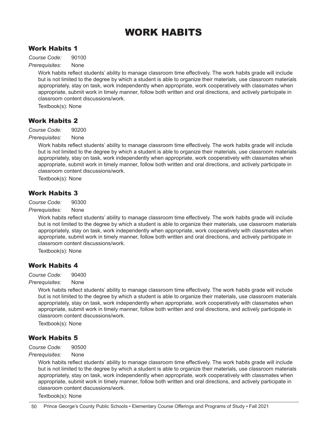## WORK HABITS

## Work Habits 1

*Course Code:* 90100

*Prerequisites:* None

Work habits reflect students' ability to manage classroom time effectively. The work habits grade will include but is not limited to the degree by which a student is able to organize their materials, use classroom materials appropriately, stay on task, work independently when appropriate, work cooperatively with classmates when appropriate, submit work in timely manner, follow both written and oral directions, and actively participate in classroom content discussions/work.

Textbook(s): None

## Work Habits 2

*Course Code:* 90200

*Prerequisites:* None

Work habits reflect students' ability to manage classroom time effectively. The work habits grade will include but is not limited to the degree by which a student is able to organize their materials, use classroom materials appropriately, stay on task, work independently when appropriate, work cooperatively with classmates when appropriate, submit work in timely manner, follow both written and oral directions, and actively participate in classroom content discussions/work.

Textbook(s): None

## Work Habits 3

*Course Code:* 90300

*Prerequisites:* None

Work habits reflect students' ability to manage classroom time effectively. The work habits grade will include but is not limited to the degree by which a student is able to organize their materials, use classroom materials appropriately, stay on task, work independently when appropriate, work cooperatively with classmates when appropriate, submit work in timely manner, follow both written and oral directions, and actively participate in classroom content discussions/work.

Textbook(s): None

## Work Habits 4

*Course Code:* 90400

*Prerequisites:* None

Work habits reflect students' ability to manage classroom time effectively. The work habits grade will include but is not limited to the degree by which a student is able to organize their materials, use classroom materials appropriately, stay on task, work independently when appropriate, work cooperatively with classmates when appropriate, submit work in timely manner, follow both written and oral directions, and actively participate in classroom content discussions/work.

Textbook(s): None

## Work Habits 5

*Course Code:* 90500

*Prerequisites:* None

Work habits reflect students' ability to manage classroom time effectively. The work habits grade will include but is not limited to the degree by which a student is able to organize their materials, use classroom materials appropriately, stay on task, work independently when appropriate, work cooperatively with classmates when appropriate, submit work in timely manner, follow both written and oral directions, and actively participate in classroom content discussions/work.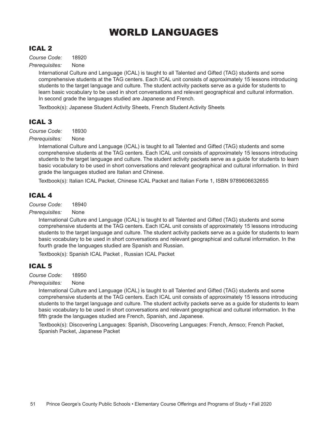## WORLD LANGUAGES

## ICAL 2

*Course Code:* 18920

*Prerequisites:* None

International Culture and Language (ICAL) is taught to all Talented and Gifted (TAG) students and some comprehensive students at the TAG centers. Each ICAL unit consists of approximately 15 lessons introducing students to the target language and culture. The student activity packets serve as a guide for students to learn basic vocabulary to be used in short conversations and relevant geographical and cultural information. In second grade the languages studied are Japanese and French.

Textbook(s): Japanese Student Activity Sheets, French Student Activity Sheets

## ICAL 3

*Course Code:* 18930

*Prerequisites:* None

International Culture and Language (ICAL) is taught to all Talented and Gifted (TAG) students and some comprehensive students at the TAG centers. Each ICAL unit consists of approximately 15 lessons introducing students to the target language and culture. The student activity packets serve as a guide for students to learn basic vocabulary to be used in short conversations and relevant geographical and cultural information. In third grade the languages studied are Italian and Chinese.

Textbook(s): Italian ICAL Packet, Chinese ICAL Packet and Italian Forte 1, ISBN 9789606632655

## ICAL 4

*Course Code:* 18940

*Prerequisites:* None

International Culture and Language (ICAL) is taught to all Talented and Gifted (TAG) students and some comprehensive students at the TAG centers. Each ICAL unit consists of approximately 15 lessons introducing students to the target language and culture. The student activity packets serve as a guide for students to learn basic vocabulary to be used in short conversations and relevant geographical and cultural information. In the fourth grade the languages studied are Spanish and Russian.

Textbook(s): Spanish ICAL Packet , Russian ICAL Packet

## ICAL 5

*Course Code:* 18950

*Prerequisites:* None

International Culture and Language (ICAL) is taught to all Talented and Gifted (TAG) students and some comprehensive students at the TAG centers. Each ICAL unit consists of approximately 15 lessons introducing students to the target language and culture. The student activity packets serve as a guide for students to learn basic vocabulary to be used in short conversations and relevant geographical and cultural information. In the fifth grade the languages studied are French, Spanish, and Japanese.

Textbook(s): Discovering Languages: Spanish, Discovering Languages: French, Amsco; French Packet, Spanish Packet, Japanese Packet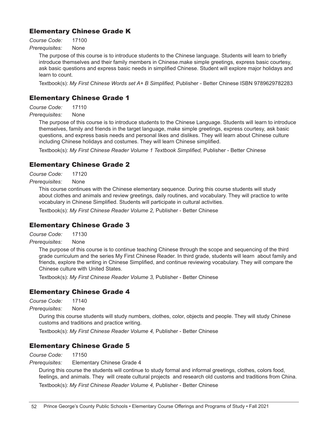## Elementary Chinese Grade K

*Course Code:* 17100

*Prerequisites:* None

The purpose of this course is to introduce students to the Chinese language. Students will learn to briefly introduce themselves and their family members in Chinese.make simple greetings, express basic courtesy, ask basic questions and express basic needs in simplified Chinese. Student will explore major holidays and learn to count.

Textbook(s): *My First Chinese Words set A+ B Simplified,* Publisher - Better Chinese ISBN 9789629782283

## Elementary Chinese Grade 1

*Course Code:* 17110

*Prerequisites:* None

The purpose of this course is to introduce students to the Chinese Language. Students will learn to introduce themselves, family and friends in the target language, make simple greetings, express courtesy, ask basic questions, and express basis needs and personal likes and dislikes. They will learn about Chinese culture including Chinese holidays and costumes. They will learn Chinese simplified.

Textbook(s): *My First Chinese Reader Volume 1 Textbook Simplified,* Publisher - Better Chinese

## Elementary Chinese Grade 2

*Course Code:* 17120

*Prerequisites:* None

This course continues with the Chinese elementary sequence. During this course students will study about clothes and animals and review greetings, daily routines, and vocabulary. They will practice to write vocabulary in Chinese Simplified. Students will participate in cultural activities.

Textbook(s): *My First Chinese Reader Volume 2,* Publisher - Better Chinese

## Elementary Chinese Grade 3

*Course Code:* 17130

*Prerequisites:* None

The purpose of this course is to continue teaching Chinese through the scope and sequencing of the third grade curriculum and the series My First Chinese Reader. In third grade, students will learn about family and friends, explore the writing in Chinese Simplified, and continue reviewing vocabulary. They will compare the Chinese culture with United States.

Textbook(s): *My First Chinese Reader Volume 3,* Publisher - Better Chinese

## Elementary Chinese Grade 4

*Course Code:* 17140

*Prerequisites:* None

During this course students will study numbers, clothes, color, objects and people. They will study Chinese customs and traditions and practice writing.

Textbook(s): *My First Chinese Reader Volume 4,* Publisher - Better Chinese

## Elementary Chinese Grade 5

*Course Code:* 17150

*Prerequisites:* Elementary Chinese Grade 4

During this course the students will continue to study formal and informal greetings, clothes, colors food, feelings, and animals. They will create cultural projects and research old customs and traditions from China. Textbook(s): *My First Chinese Reader Volume 4,* Publisher - Better Chinese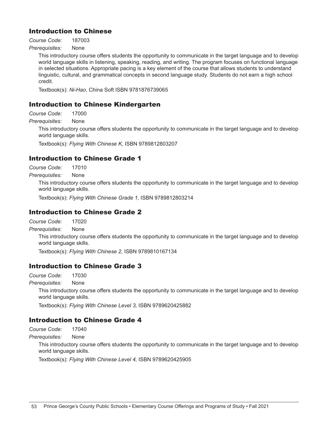## Introduction to Chinese

*Course Code:* 187003

*Prerequisites:* None

This introductory course offers students the opportunity to communicate in the target language and to develop world language skills in listening, speaking, reading, and writing. The program focuses on functional language in selected situations. Appropriate pacing is a key element of the course that allows students to understand linguistic, cultural, and grammatical concepts in second language study. Students do not earn a high school credit.

Textbook(s): *Ni-Hao*, China Soft ISBN 9781876739065

## Introduction to Chinese Kindergarten

*Course Code:* 17000

*Prerequisites:* None

This introductory course offers students the opportunity to communicate in the target language and to develop world language skills.

Textbook(s): *Flying With Chinese K,* ISBN 9789812803207

## Introduction to Chinese Grade 1

*Course Code:* 17010

*Prerequisites:* None

This introductory course offers students the opportunity to communicate in the target language and to develop world language skills.

Textbook(s): *Flying With Chinese Grade 1,* ISBN 9789812803214

## Introduction to Chinese Grade 2

*Course Code:* 17020

*Prerequisites:* None

This introductory course offers students the opportunity to communicate in the target language and to develop world language skills.

Textbook(s): *Flying With Chinese 2,* ISBN 9789810167134

## Introduction to Chinese Grade 3

*Course Code:* 17030

*Prerequisites:* None

This introductory course offers students the opportunity to communicate in the target language and to develop world language skills.

Textbook(s): *Flying With Chinese Level 3,* ISBN 9789620425882

## Introduction to Chinese Grade 4

*Course Code:* 17040

*Prerequisites:* None

This introductory course offers students the opportunity to communicate in the target language and to develop world language skills.

Textbook(s): *Flying With Chinese Level 4,* ISBN 9789620425905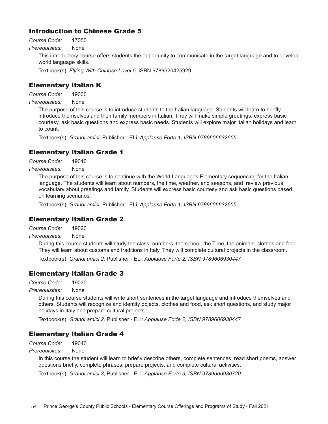## Introduction to Chinese Grade 5

*Course Code:* 17050

*Prerequisites:* None

This introductory course offers students the opportunity to communicate in the target language and to develop world language skills.

Textbook(s): *Flying With Chinese Level 5,* ISBN 9789620425929

## Elementary Italian K

*Course Code:* 19000

*Prerequisites:* None

The purpose of this course is to introduce students to the Italian language. Students will learn to briefly introduce themselves and their family members in Italian. They will make simple greetings, express basic courtesy, ask basic questions and express basic needs. Students will explore major Italian holidays and learn to count.

Textbook(s): *Grandi amici,* Publisher - ELi*; Applause Forte 1, ISBN 9789606632655*

## Elementary Italian Grade 1

*Course Code:* 19010

*Prerequisites:* None

The purpose of this course is to continue with the World Languages Elementary sequencing for the Italian language. The students will learn about numbers, the time, weather, and seasons, and review previous vocabulary about greetings and family. Students will express basic courtesy and ask basic questions based on learning scenarios.

Textbook(s): *Grandi amici,* Publisher - ELi*; Applause Forte 1, ISBN 9789606632655*

## Elementary Italian Grade 2

*Course Code:* 19020

*Prerequisites:* None

During this course students will study the class, numbers, the school, the Time, the animals, clothes and food. They will learn about customs and traditions in Italy. They will complete cultural projects in the classroom.

Textbook(s): *Grandi amici 2,* Publisher - ELi*; Applause Forte 2, ISBN 9789606930447*

## Elementary Italian Grade 3

*Course Code:* 19030

*Prerequisites:* None

During this course students will write short sentences in the target language and introduce themselves and others. Students will recognize and identify objects, clothes and food, ask short questions, and study major holidays in Italy and prepare cultural projects.

Textbook(s): *Grandi amici 2,* Publisher - ELi*; Applause Forte 2, ISBN 9789606930447*

## Elementary Italian Grade 4

*Course Code:* 19040

*Prerequisites:* None

In this course the student will learn to briefly describe others, complete sentences, read short poems, answer questions briefly, complete phrases, prepare projects, and complete cultural activities.

Textbook(s): *Grandi amici 3,* Publisher - ELi*; Applause Forte 3, ISBN 9789606930720*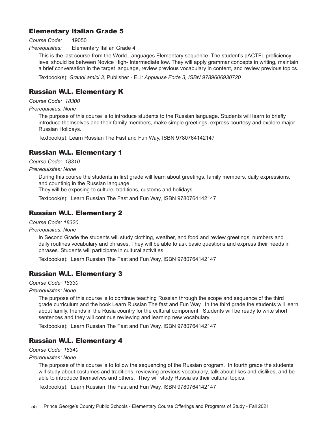## Elementary Italian Grade 5

#### *Course Code:* 19050

*Prerequisites:* Elementary Italian Grade 4

This is the last course from the World Languages Elementary sequence. The student's pACTFL proficiency level should be between Novice High- Intermediate low. They will apply grammar concepts in writing, maintain a brief conversation in the target language, review previous vocabulary in content, and review previous topics.

Textbook(s): *Grandi amici 3,* Publisher - ELi*; Applause Forte 3, ISBN 9789606930720*

## Russian W.L. Elementary K

*Course Code: 18300*

#### *Prerequisites: None*

The purpose of this course is to introduce students to the Russian language. Students will learn to briefly introduce themselves and their family members, make simple greetings, express courtesy and explore major Russian Holidays.

Textbook(s): Learn Russian The Fast and Fun Way, ISBN 9780764142147

## Russian W.L. Elementary 1

*Course Code: 18310*

*Prerequisites: None*

During this course the students in first grade will learn about greetings, family members, daily expressions, and countinig in the Russian language.

They will be exposing to culture, traditions, customs and holidays.

Textbook(s): Learn Russian The Fast and Fun Way, ISBN 9780764142147

## Russian W.L. Elementary 2

*Course Code: 18320* 

*Prerequisites: None*

In Second Grade the students will study clothing, weather, and food and review greetings, numbers and daily routines vocabulary and phrases. They will be able to ask basic questions and express their needs in phrases. Students will participate in cultural activities.

Textbook(s): Learn Russian The Fast and Fun Way, ISBN 9780764142147

## Russian W.L. Elementary 3

*Course Code: 18330* 

*Prerequisites: None*

The purpose of this course is to continue teaching Russian through the scope and sequence of the third grade curriculum and the book Learn Russian The fast and Fun Way. In the third grade the students will learn about family, friends in the Rusia country for the cultural component. Students will be ready to write short sentences and they will continue reviewing and learning new vocabulary.

Textbook(s): Learn Russian The Fast and Fun Way, ISBN 9780764142147

## Russian W.L. Elementary 4

*Course Code: 18340* 

*Prerequisites: None*

The purpose of this course is to follow the sequencing of the Russian program. In fourth grade the students will study about costumes and traditions, reviewing previous vocabulary, talk about likes and dislikes, and be able to introduce themselves and others. They will study Russia as their cultural topics.

Textbook(s): Learn Russian The Fast and Fun Way, ISBN 9780764142147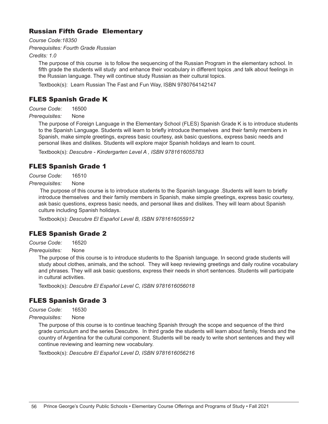## Russian Fifth Grade Elementary

*Course Code:18350* 

*Prerequisites: Fourth Grade Russian*

*Credits: 1.0*

The purpose of this course is to follow the sequencing of the Russian Program in the elementary school. In fifth grade the students will study and enhance their vocabulary in different topics ,and talk about feelings in the Russian language. They will continue study Russian as their cultural topics.

Textbook(s): Learn Russian The Fast and Fun Way, ISBN 9780764142147

## FLES Spanish Grade K

*Course Code:* 16500

*Prerequisites:* None

The purpose of Foreign Language in the Elementary School (FLES) Spanish Grade K is to introduce students to the Spanish Language. Students will learn to briefly introduce themselves and their family members in Spanish, make simple greetings, express basic courtesy, ask basic questions, express basic needs and personal likes and dislikes. Students will explore major Spanish holidays and learn to count.

Textbook(s): *Descubre - Kindergarten Level A , ISBN 9781616055783*

## FLES Spanish Grade 1

*Course Code:* 16510

*Prerequisites:* None

 The purpose of this course is to introduce students to the Spanish language .Students will learn to briefly introduce themselves and their family members in Spanish, make simple greetings, express basic courtesy, ask basic questions, express basic needs, and personal likes and dislikes. They will learn about Spanish culture including Spanish holidays.

Textbook(s): *Descubre El Español Level B, ISBN 9781616055912*

## FLES Spanish Grade 2

*Course Code:* 16520

*Prerequisites:* None

The purpose of this course is to introduce students to the Spanish language. In second grade students will study about clothes, animals, and the school. They will keep reviewing greetings and daily routine vocabulary and phrases. They will ask basic questions, express their needs in short sentences. Students will participate in cultural activities.

Textbook(s): *Descubre El Español Level C, ISBN 9781616056018*

## FLES Spanish Grade 3

*Course Code:* 16530

*Prerequisites:* None

The purpose of this course is to continue teaching Spanish through the scope and sequence of the third grade curriculum and the series Descubre. In third grade the students will learn about family, friends and the country of Argentina for the cultural component. Students will be ready to write short sentences and they will continue reviewing and learning new vocabulary.

Textbook(s): *Descubre El Español Level D, ISBN 9781616056216*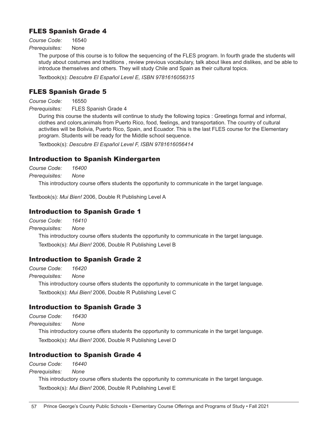## FLES Spanish Grade 4

*Course Code:* 16540

*Prerequisites:* None

The purpose of this course is to follow the sequencing of the FLES program. In fourth grade the students will study about costumes and traditions , review previous vocabulary, talk about likes and dislikes, and be able to introduce themselves and others. They will study Chile and Spain as their cultural topics.

Textbook(s): *Descubre El Español Level E, ISBN 9781616056315*

## FLES Spanish Grade 5

*Course Code:* 16550

*Prerequisites:* FLES Spanish Grade 4

During this course the students will continue to study the following topics : Greetings formal and informal, clothes and colors,animals from Puerto Rico, food, feelings, and transportation. The country of cultural activities will be Bolivia, Puerto Rico, Spain, and Ecuador. This is the last FLES course for the Elementary program. Students will be ready for the Middle school sequence.

Textbook(s): *Descubre El Español Level F, ISBN 9781616056414*

## Introduction to Spanish Kindergarten

*Course Code: 16400* 

*Prerequisites: None*

This introductory course offers students the opportunity to communicate in the target language.

Textbook(s): *Mui Bien!* 2006, Double R Publishing Level A

## Introduction to Spanish Grade 1

*Course Code: 16410* 

*Prerequisites: None*

This introductory course offers students the opportunity to communicate in the target language. Textbook(s): *Mui Bien!* 2006, Double R Publishing Level B

## Introduction to Spanish Grade 2

*Course Code: 16420* 

*Prerequisites: None*

This introductory course offers students the opportunity to communicate in the target language. Textbook(s): *Mui Bien!* 2006, Double R Publishing Level C

## Introduction to Spanish Grade 3

*Course Code: 16430* 

*Prerequisites: None*

This introductory course offers students the opportunity to communicate in the target language. Textbook(s): *Mui Bien!* 2006, Double R Publishing Level D

## Introduction to Spanish Grade 4

*Course Code: 16440* 

*Prerequisites: None*

This introductory course offers students the opportunity to communicate in the target language. Textbook(s): *Mui Bien!* 2006, Double R Publishing Level E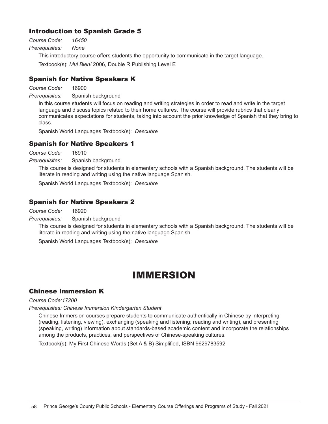## Introduction to Spanish Grade 5

*Course Code: 16450* 

*Prerequisites: None*

This introductory course offers students the opportunity to communicate in the target language.

Textbook(s): *Mui Bien!* 2006, Double R Publishing Level E

## Spanish for Native Speakers K

*Course Code:* 16900

*Prerequisites:* Spanish background

In this course students will focus on reading and writing strategies in order to read and write in the target language and discuss topics related to their home cultures. The course will provide rubrics that clearly communicates expectations for students, taking into account the prior knowledge of Spanish that they bring to class.

Spanish World Languages Textbook(s): *Descubre* 

## Spanish for Native Speakers 1

*Course Code:* 16910

*Prerequisites:* Spanish background

This course is designed for students in elementary schools with a Spanish background. The students will be literate in reading and writing using the native language Spanish.

Spanish World Languages Textbook(s): *Descubre*

## Spanish for Native Speakers 2

*Course Code:* 16920

*Prerequisites:* Spanish background

This course is designed for students in elementary schools with a Spanish background. The students will be literate in reading and writing using the native language Spanish.

Spanish World Languages Textbook(s): *Descubre*

## IMMERSION

## Chinese Immersion K

#### *Course Code:17200*

*Prerequisites: Chinese Immersion Kindergarten Student*

Chinese Immersion courses prepare students to communicate authentically in Chinese by interpreting (reading, listening, viewing), exchanging (speaking and listening; reading and writing), and presenting (speaking, writing) information about standards-based academic content and incorporate the relationships among the products, practices, and perspectives of Chinese-speaking cultures.

Textbook(s): My First Chinese Words (Set A & B) Simplified, ISBN 9629783592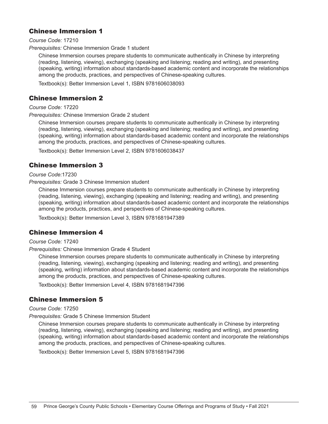## Chinese Immersion 1

*Course Code:* 17210

*Prerequisites:* Chinese Immersion Grade 1 student

Chinese Immersion courses prepare students to communicate authentically in Chinese by interpreting (reading, listening, viewing), exchanging (speaking and listening; reading and writing), and presenting (speaking, writing) information about standards-based academic content and incorporate the relationships among the products, practices, and perspectives of Chinese-speaking cultures.

Textbook(s): Better Immersion Level 1, ISBN 9781606038093

### Chinese Immersion 2

*Course Code:* 17220

*Prerequisites: C*hinese Immersion Grade 2 student

Chinese Immersion courses prepare students to communicate authentically in Chinese by interpreting (reading, listening, viewing), exchanging (speaking and listening; reading and writing), and presenting (speaking, writing) information about standards-based academic content and incorporate the relationships among the products, practices, and perspectives of Chinese-speaking cultures.

Textbook(s): Better Immersion Level 2, ISBN 9781606038437

## Chinese Immersion 3

*Course Code:*17230

*Prerequisites:* Grade 3 Chinese Immersion student

Chinese Immersion courses prepare students to communicate authentically in Chinese by interpreting (reading, listening, viewing), exchanging (speaking and listening; reading and writing), and presenting (speaking, writing) information about standards-based academic content and incorporate the relationships among the products, practices, and perspectives of Chinese-speaking cultures.

Textbook(s): Better Immersion Level 3, ISBN 9781681947389

## Chinese Immersion 4

*Course Code:* 17240

*Prerequisites:* Chinese Immersion Grade 4 Student

Chinese Immersion courses prepare students to communicate authentically in Chinese by interpreting (reading, listening, viewing), exchanging (speaking and listening; reading and writing), and presenting (speaking, writing) information about standards-based academic content and incorporate the relationships among the products, practices, and perspectives of Chinese-speaking cultures.

Textbook(s): Better Immersion Level 4, ISBN 9781681947396

## Chinese Immersion 5

#### *Course Code:* 17250

*Prerequisites:* Grade 5 Chinese Immersion Student

Chinese Immersion courses prepare students to communicate authentically in Chinese by interpreting (reading, listening, viewing), exchanging (speaking and listening; reading and writing), and presenting (speaking, writing) information about standards-based academic content and incorporate the relationships among the products, practices, and perspectives of Chinese-speaking cultures.

Textbook(s): Better Immersion Level 5, ISBN 9781681947396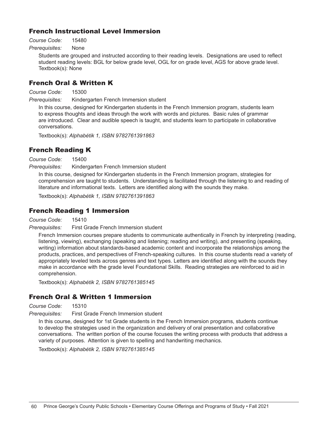## French Instructional Level Immersion

*Course Code:* 15480

## *Prerequisites:* None

Students are grouped and instructed according to their reading levels. Designations are used to reflect student reading levels: BGL for below grade level, OGL for on grade level, AGS for above grade level. Textbook(s): None

## French Oral & Written K

*Course Code:* 15300

*Prerequisites:* Kindergarten French Immersion student

In this course, designed for Kindergarten students in the French Immersion program, students learn to express thoughts and ideas through the work with words and pictures. Basic rules of grammar are introduced. Clear and audible speech is taught, and students learn to participate in collaborative conversations.

Textbook(s): *Alphabétik 1, ISBN 9782761391863*

## French Reading K

*Course Code:* 15400

*Prerequisites:* Kindergarten French Immersion student

In this course, designed for Kindergarten students in the French Immersion program, strategies for comprehension are taught to students. Understanding is facilitated through the listening to and reading of literature and informational texts. Letters are identified along with the sounds they make.

Textbook(s): *Alphabétik 1, ISBN 9782761391863*

### French Reading 1 Immersion

*Course Code:* 15410

*Prerequisites:* First Grade French Immersion student

French Immersion courses prepare students to communicate authentically in French by interpreting (reading, listening, viewing), exchanging (speaking and listening; reading and writing), and presenting (speaking, writing) information about standards-based academic content and incorporate the relationships among the products, practices, and perspectives of French-speaking cultures. In this course students read a variety of appropriately leveled texts across genres and text types. Letters are identified along with the sounds they make in accordance with the grade level Foundational Skills. Reading strategies are reinforced to aid in comprehension.

Textbook(s): *Alphabétik 2, ISBN 9782761385145*

## French Oral & Written 1 Immersion

*Course Code:* 15310

*Prerequisites:* First Grade French Immersion student

In this course, designed for 1st Grade students in the French Immersion programs, students continue to develop the strategies used in the organization and delivery of oral presentation and collaborative conversations. The written portion of the course focuses the writing process with products that address a variety of purposes. Attention is given to spelling and handwriting mechanics.

Textbook(s): *Alphabétik 2, ISBN 9782761385145*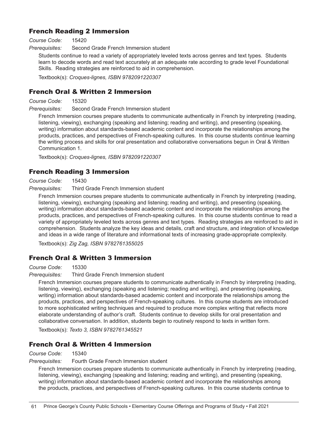## French Reading 2 Immersion

*Course Code:* 15420

*Prerequisites:* Second Grade French Immersion student

Students continue to read a variety of appropriately leveled texts across genres and text types. Students learn to decode words and read text accurately at an adequate rate according to grade level Foundational Skills. Reading strategies are reinforced to aid in comprehension.

Textbook(s): *Croques-lignes, ISBN 9782091220307*

## French Oral & Written 2 Immersion

*Course Code:* 15320

*Prerequisites:* Second Grade French Immersion student

French Immersion courses prepare students to communicate authentically in French by interpreting (reading, listening, viewing), exchanging (speaking and listening; reading and writing), and presenting (speaking, writing) information about standards-based academic content and incorporate the relationships among the products, practices, and perspectives of French-speaking cultures. In this course students continue learning the writing process and skills for oral presentation and collaborative conversations begun in Oral & Written Communication 1.

Textbook(s): *Croques-lignes, ISBN 9782091220307*

## French Reading 3 Immersion

*Course Code:* 15430

*Prerequisites:* Third Grade French Immersion student

French Immersion courses prepare students to communicate authentically in French by interpreting (reading, listening, viewing), exchanging (speaking and listening; reading and writing), and presenting (speaking, writing) information about standards-based academic content and incorporate the relationships among the products, practices, and perspectives of French-speaking cultures. In this course students continue to read a variety of appropriately leveled texts across genres and text types. Reading strategies are reinforced to aid in comprehension. Students analyze the key ideas and details, craft and structure, and integration of knowledge and ideas in a wide range of literature and informational texts of increasing grade-appropriate complexity.

Textbook(s): *Zig Zag, ISBN 9782761355025*

## French Oral & Written 3 Immersion

*Course Code:* 15330

*Prerequisites:* Third Grade French Immersion student

French Immersion courses prepare students to communicate authentically in French by interpreting (reading, listening, viewing), exchanging (speaking and listening; reading and writing), and presenting (speaking, writing) information about standards-based academic content and incorporate the relationships among the products, practices, and perspectives of French-speaking cultures. In this course students are introduced to more sophisticated writing techniques and required to produce more complex writing that reflects more elaborate understanding of author's craft. Students continue to develop skills for oral presentation and collaborative conversation. In addition, students begin to routinely respond to texts in written form.

Textbook(s): *Texto 3, ISBN 9782761345521*

## French Oral & Written 4 Immersion

#### *Course Code:* 15340

*Prerequisites:* Fourth Grade French Immersion student

French Immersion courses prepare students to communicate authentically in French by interpreting (reading, listening, viewing), exchanging (speaking and listening; reading and writing), and presenting (speaking, writing) information about standards-based academic content and incorporate the relationships among the products, practices, and perspectives of French-speaking cultures. In this course students continue to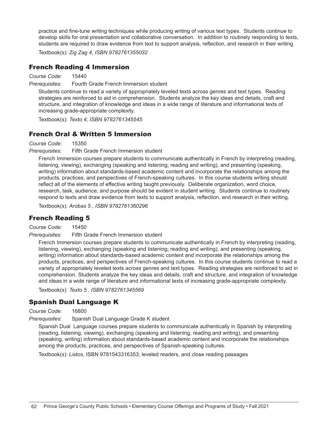practice and fine-tune writing techniques while producing writing of various text types. Students continue to develop skills for oral presentation and collaborative conversation. In addition to routinely responding to texts, students are required to draw evidence from text to support analysis, reflection, and research in their writing.

Textbook(s): *Zig Zag 4, ISBN 9782761355032*

## French Reading 4 Immersion

*Course Code:* 15440

*Prerequisites:* Fourth Grade French Immersion student

Students continue to read a variety of appropriately leveled texts across genres and text types. Reading strategies are reinforced to aid in comprehension. Students analyze the key ideas and details, craft and structure, and integration of knowledge and ideas in a wide range of literature and informational texts of increasing grade-appropriate complexity.

Textbook(s): *Texto 4, ISBN 9782761345545*

## French Oral & Written 5 Immersion

*Course Code:* 15350

*Prerequisites:* Fifth Grade French Immersion student

French Immersion courses prepare students to communicate authentically in French by interpreting (reading, listening, viewing), exchanging (speaking and listening; reading and writing), and presenting (speaking, writing) information about standards-based academic content and incorporate the relationships among the products, practices, and perspectives of French-speaking cultures. In this course students writing should reflect all of the elements of effective writing taught previously. Deliberate organization, word choice, research, task, audience, and purpose should be evident in student writing. Students continue to routinely respond to texts and draw evidence from texts to support analysis, reflection, and research in their writing.

Textbook(s): *Arobas 5 , ISBN 9782761360296*

## French Reading 5

*Course Code:* 15450

*Prerequisites:* Fifth Grade French Immersion student

French Immersion courses prepare students to communicate authentically in French by interpreting (reading, listening, viewing), exchanging (speaking and listening; reading and writing), and presenting (speaking, writing) information about standards-based academic content and incorporate the relationships among the products, practices, and perspectives of French-speaking cultures. In this course students continue to read a variety of appropriately leveled texts across genres and text types. Reading strategies are reinforced to aid in comprehension. Students analyze the key ideas and details, craft and structure, and integration of knowledge and ideas in a wide range of literature and informational texts of increasing grade-appropriate complexity.

Textbook(s): *Texto 5 , ISBN 9782761345569*

## Spanish Dual Language K

*Course Code:* 16800

*Prerequisites:* Spanish Dual Language Grade K student

Spanish Dual Language courses prepare students to communicate authentically in Spanish by interpreting (reading, listening, viewing), exchanging (speaking and listening, reading and writing), and presenting (speaking, writing) information about standards-based academic content and incorporate the relationships among the products, practices, and perspectives of Spanish-speaking cultures.

Textbook(s): *Listos*, ISBN 9781543316353; leveled readers, and close reading passages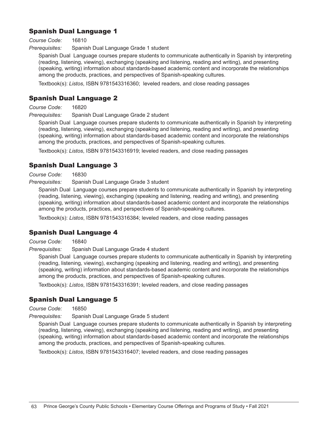## Spanish Dual Language 1

*Course Code:* 16810

*Prerequisites:* Spanish Dual Language Grade 1 student

Spanish Dual Language courses prepare students to communicate authentically in Spanish by interpreting (reading, listening, viewing), exchanging (speaking and listening, reading and writing), and presenting (speaking, writing) information about standards-based academic content and incorporate the relationships among the products, practices, and perspectives of Spanish-speaking cultures.

Textbook(s): *Listos*, ISBN 9781543316360;leveled readers, and close reading passages

## Spanish Dual Language 2

*Course Code:* 16820

*Prerequisites:* Spanish Dual Language Grade 2 student

Spanish Dual Language courses prepare students to communicate authentically in Spanish by interpreting (reading, listening, viewing), exchanging (speaking and listening, reading and writing), and presenting (speaking, writing) information about standards-based academic content and incorporate the relationships among the products, practices, and perspectives of Spanish-speaking cultures.

Textbook(s): *Listos*, ISBN 9781543316919; leveled readers, and close reading passages

## Spanish Dual Language 3

*Course Code:* 16830

*Prerequisites:* Spanish Dual Language Grade 3 student

Spanish Dual Language courses prepare students to communicate authentically in Spanish by interpreting (reading, listening, viewing), exchanging (speaking and listening, reading and writing), and presenting (speaking, writing) information about standards-based academic content and incorporate the relationships among the products, practices, and perspectives of Spanish-speaking cultures.

Textbook(s): *Listos*, ISBN 9781543316384; leveled readers, and close reading passages

## Spanish Dual Language 4

*Course Code:* 16840

*Prerequisites:* Spanish Dual Language Grade 4 student

Spanish Dual Language courses prepare students to communicate authentically in Spanish by interpreting (reading, listening, viewing), exchanging (speaking and listening, reading and writing), and presenting (speaking, writing) information about standards-based academic content and incorporate the relationships among the products, practices, and perspectives of Spanish-speaking cultures.

Textbook(s): *Listos*, ISBN 9781543316391; leveled readers, and close reading passages

## Spanish Dual Language 5

*Course Code:* 16850

*Prerequisites:* Spanish Dual Language Grade 5 student

Spanish Dual Language courses prepare students to communicate authentically in Spanish by interpreting (reading, listening, viewing), exchanging (speaking and listening, reading and writing), and presenting (speaking, writing) information about standards-based academic content and incorporate the relationships among the products, practices, and perspectives of Spanish-speaking cultures.

Textbook(s): *Listos*, ISBN 9781543316407; leveled readers, and close reading passages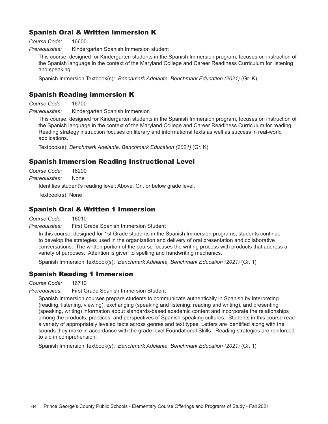## Spanish Oral & Written Immersion K

*Course Code:* 16600

*Prerequisites:* Kindergarten Spanish Immersion student

This course, designed for Kindergarten students in the Spanish Immersion program, focuses on instruction of the Spanish language in the context of the Maryland College and Career Readiness Curriculum for listening and speaking.

Spanish Immersion Textbook(s): *Benchmark Adelante, Benchmark Education (2021)* (Gr. K)

## Spanish Reading Immersion K

*Course Code:* 16700

*Prerequisites:* Kindergarten Spanish Immersion

This course, designed for Kindergarten students in the Spanish Immersion program, focuses on instruction of the Spanish language in the context of the Maryland College and Career Readiness Curriculum for reading. Reading strategy instruction focuses on literary and informational texts as well as success in real-world applications.

Textbook(s): *Benchmark Adelante, Benchmark Education (2021)* (Gr. K)

## Spanish Immersion Reading Instructional Level

*Course Code:* 16290 *Prerequisites:* None

Identifies student's reading level: Above, On, or below grade level.

Textbook(s): None

## Spanish Oral & Written 1 Immersion

*Course Code:* 16010

*Prerequisites:* First Grade Spanish Immersion Student

In this course, designed for 1st Grade students in the Spanish Immersion programs, students continue to develop the strategies used in the organization and delivery of oral presentation and collaborative conversations. The written portion of the course focuses the writing process with products that address a variety of purposes. Attention is given to spelling and handwriting mechanics.

Spanish Immersion Textbook(s): *Benchmark Adelante, Benchmark Education (2021)* (Gr. 1)

## Spanish Reading 1 Immersion

*Course Code:* 16710

*Prerequisites:* First Grade Spanish Immersion Student

Spanish Immersion courses prepare students to communicate authentically in Spanish by interpreting (reading, listening, viewing), exchanging (speaking and listening; reading and writing), and presenting (speaking, writing) information about standards-based academic content and incorporate the relationships among the products, practices, and perspectives of Spanish-speaking cultures. Students in this course read a variety of appropriately leveled texts across genres and text types. Letters are identified along with the sounds they make in accordance with the grade level Foundational Skills. Reading strategies are reinforced to aid in comprehension.

Spanish Immersion Textbook(s): *Benchmark Adelante, Benchmark Education (2021)* (Gr. 1)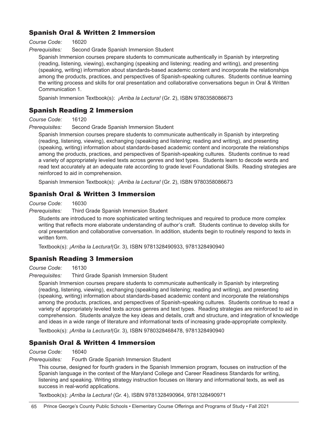## Spanish Oral & Written 2 Immersion

*Course Code:* 16020

*Prerequisites:* Second Grade Spanish Immersion Student

Spanish Immersion courses prepare students to communicate authentically in Spanish by interpreting (reading, listening, viewing), exchanging (speaking and listening; reading and writing), and presenting (speaking, writing) information about standards-based academic content and incorporate the relationships among the products, practices, and perspectives of Spanish-speaking cultures. Students continue learning the writing process and skills for oral presentation and collaborative conversations begun in Oral & Written Communication 1.

Spanish Immersion Textbook(s): *¡Arriba la Lectura!* (Gr. 2), ISBN 9780358086673

## Spanish Reading 2 Immersion

*Course Code:* 16120

*Prerequisites:* Second Grade Spanish Immersion Student

Spanish Immersion courses prepare students to communicate authentically in Spanish by interpreting (reading, listening, viewing), exchanging (speaking and listening; reading and writing), and presenting (speaking, writing) information about standards-based academic content and incorporate the relationships among the products, practices, and perspectives of Spanish-speaking cultures. Students continue to read a variety of appropriately leveled texts across genres and text types. Students learn to decode words and read text accurately at an adequate rate according to grade level Foundational Skills. Reading strategies are reinforced to aid in comprehension.

Spanish Immersion Textbook(s): *¡Arriba la Lectura!* (Gr. 2), ISBN 9780358086673

## Spanish Oral & Written 3 Immersion

*Course Code:* 16030

*Prerequisites:* Third Grade Spanish Immersion Student

Students are introduced to more sophisticated writing techniques and required to produce more complex writing that reflects more elaborate understanding of author's craft. Students continue to develop skills for oral presentation and collaborative conversation. In addition, students begin to routinely respond to texts in written form.

Textbook(s): *¡Arriba la Lectura!*(Gr. 3), ISBN 9781328490933, 9781328490940

## Spanish Reading 3 Immersion

*Course Code:* 16130

*Prerequisites:* Third Grade Spanish Immersion Student

Spanish Immersion courses prepare students to communicate authentically in Spanish by interpreting (reading, listening, viewing), exchanging (speaking and listening; reading and writing), and presenting (speaking, writing) information about standards-based academic content and incorporate the relationships among the products, practices, and perspectives of Spanish-speaking cultures. Students continue to read a variety of appropriately leveled texts across genres and text types. Reading strategies are reinforced to aid in comprehension. Students analyze the key ideas and details, craft and structure, and integration of knowledge and ideas in a wide range of literature and informational texts of increasing grade-appropriate complexity.

Textbook(s): *¡Arriba la Lectura!*(Gr. 3), ISBN 9780328468478, 9781328490940

## Spanish Oral & Written 4 Immersion

#### *Course Code:* 16040

*Prerequisites:* Fourth Grade Spanish Immersion Student

This course, designed for fourth graders in the Spanish Immersion program, focuses on instruction of the Spanish language in the context of the Maryland College and Career Readiness Standards for writing, listening and speaking. Writing strategy instruction focuses on literary and informational texts, as well as success in real-world applications.

Textbook(s): *¡Arriba la Lectura!* (Gr. 4), ISBN 9781328490964, 9781328490971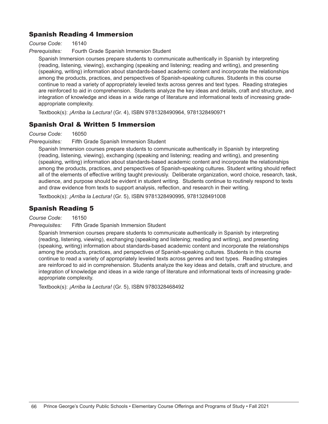## Spanish Reading 4 Immersion

*Course Code:* 16140

*Prerequisites:* Fourth Grade Spanish Immersion Student

Spanish Immersion courses prepare students to communicate authentically in Spanish by interpreting (reading, listening, viewing), exchanging (speaking and listening; reading and writing), and presenting (speaking, writing) information about standards-based academic content and incorporate the relationships among the products, practices, and perspectives of Spanish-speaking cultures. Students in this course continue to read a variety of appropriately leveled texts across genres and text types. Reading strategies are reinforced to aid in comprehension. Students analyze the key ideas and details, craft and structure, and integration of knowledge and ideas in a wide range of literature and informational texts of increasing gradeappropriate complexity.

Textbook(s): *¡Arriba la Lectura!* (Gr. 4), ISBN 9781328490964, 9781328490971

## Spanish Oral & Written 5 Immersion

*Course Code:* 16050

*Prerequisites:* Fifth Grade Spanish Immersion Student

Spanish Immersion courses prepare students to communicate authentically in Spanish by interpreting (reading, listening, viewing), exchanging (speaking and listening; reading and writing), and presenting (speaking, writing) information about standards-based academic content and incorporate the relationships among the products, practices, and perspectives of Spanish-speaking cultures. Student writing should reflect all of the elements of effective writing taught previously. Deliberate organization, word choice, research, task, audience, and purpose should be evident in student writing. Students continue to routinely respond to texts and draw evidence from texts to support analysis, reflection, and research in their writing.

Textbook(s): *¡Arriba la Lectura!* (Gr. 5), ISBN 9781328490995, 9781328491008

## Spanish Reading 5

*Course Code:* 16150

*Prerequisites:* Fifth Grade Spanish Immersion Student

Spanish Immersion courses prepare students to communicate authentically in Spanish by interpreting (reading, listening, viewing), exchanging (speaking and listening; reading and writing), and presenting (speaking, writing) information about standards-based academic content and incorporate the relationships among the products, practices, and perspectives of Spanish-speaking cultures. Students in this course continue to read a variety of appropriately leveled texts across genres and text types. Reading strategies are reinforced to aid in comprehension. Students analyze the key ideas and details, craft and structure, and integration of knowledge and ideas in a wide range of literature and informational texts of increasing gradeappropriate complexity.

Textbook(s): *¡Arriba la Lectura!* (Gr. 5), ISBN 9780328468492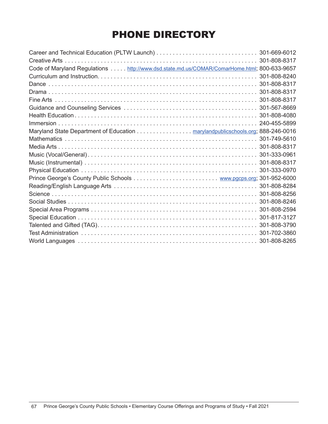## PHONE DIRECTORY

|                                                                                            | 301-808-8317 |
|--------------------------------------------------------------------------------------------|--------------|
| Code of Maryland Regulations http://www.dsd.state.md.us/COMAR/ComarHome.html; 800-633-9657 |              |
|                                                                                            |              |
|                                                                                            |              |
|                                                                                            |              |
|                                                                                            |              |
|                                                                                            |              |
|                                                                                            |              |
|                                                                                            |              |
| Maryland State Department of Education marylandpublicschools.org; 888-246-0016             |              |
|                                                                                            |              |
|                                                                                            |              |
|                                                                                            |              |
|                                                                                            |              |
|                                                                                            |              |
|                                                                                            |              |
|                                                                                            |              |
|                                                                                            |              |
|                                                                                            |              |
|                                                                                            |              |
|                                                                                            |              |
|                                                                                            |              |
|                                                                                            |              |
|                                                                                            |              |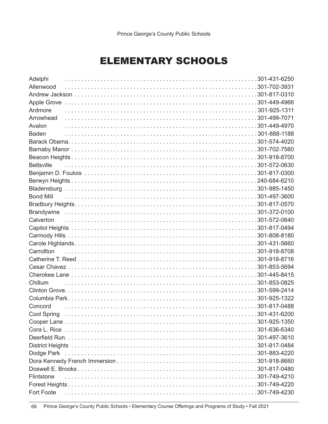## ELEMENTARY SCHOOLS

| Adelphi           |  |
|-------------------|--|
| Allenwood         |  |
|                   |  |
|                   |  |
| Ardmore           |  |
| Arrowhead         |  |
| Avalon            |  |
| <b>Baden</b>      |  |
|                   |  |
|                   |  |
|                   |  |
| <b>Beltsville</b> |  |
|                   |  |
|                   |  |
|                   |  |
| <b>Bond Mill</b>  |  |
|                   |  |
|                   |  |
| Calverton         |  |
|                   |  |
|                   |  |
|                   |  |
| Carrollton        |  |
|                   |  |
|                   |  |
|                   |  |
| Chillum           |  |
|                   |  |
|                   |  |
| Concord           |  |
| Cool Spring       |  |
|                   |  |
|                   |  |
|                   |  |
|                   |  |
|                   |  |
|                   |  |
|                   |  |
| Flintstone        |  |
|                   |  |
| Fort Foote        |  |

68 Prince George's County Public Schools • Elementary Course Offerings and Programs of Study • Fall 2021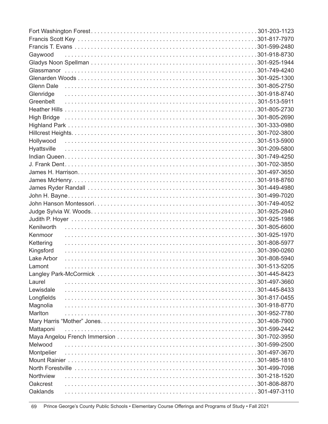| Gaywood     |  |
|-------------|--|
|             |  |
|             |  |
|             |  |
| Glenn Dale  |  |
| Glenridge   |  |
| Greenbelt   |  |
|             |  |
|             |  |
|             |  |
|             |  |
| Hollywood   |  |
| Hyattsville |  |
|             |  |
|             |  |
|             |  |
|             |  |
|             |  |
|             |  |
|             |  |
|             |  |
|             |  |
| Kenilworth  |  |
| Kenmoor     |  |
| Kettering   |  |
| Kingsford   |  |
| Lake Arbor  |  |
| Lamont      |  |
|             |  |
| Laurel      |  |
| Lewisdale   |  |
| Longfields  |  |
| Magnolia    |  |
| Marlton     |  |
|             |  |
| Mattaponi   |  |
|             |  |
| Melwood     |  |
| Montpelier  |  |
|             |  |
|             |  |
| Northview   |  |
| Oakcrest    |  |
| Oaklands    |  |

Prince George's County Public Schools • Elementary Course Offerings and Programs of Study • Fall 2021 69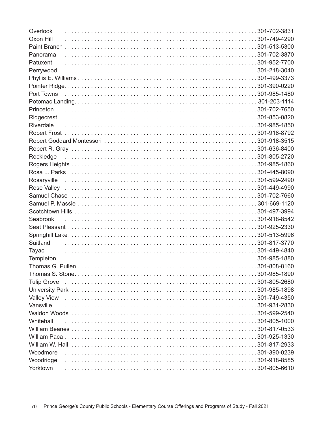| Overlook                                                                                                                                                                                                                       |              |
|--------------------------------------------------------------------------------------------------------------------------------------------------------------------------------------------------------------------------------|--------------|
| Oxon Hill                                                                                                                                                                                                                      |              |
|                                                                                                                                                                                                                                |              |
| Panorama                                                                                                                                                                                                                       |              |
| Patuxent                                                                                                                                                                                                                       |              |
| Perrywood                                                                                                                                                                                                                      |              |
|                                                                                                                                                                                                                                |              |
|                                                                                                                                                                                                                                |              |
| Port Towns (a) the contract of the contract of the contract of the contract of the contract of the contract of the contract of the contract of the contract of the contract of the contract of the contract of the contract of |              |
|                                                                                                                                                                                                                                |              |
| Princeton                                                                                                                                                                                                                      |              |
| Ridgecrest                                                                                                                                                                                                                     |              |
| Riverdale                                                                                                                                                                                                                      |              |
|                                                                                                                                                                                                                                |              |
|                                                                                                                                                                                                                                |              |
|                                                                                                                                                                                                                                |              |
| Rockledge                                                                                                                                                                                                                      |              |
|                                                                                                                                                                                                                                |              |
|                                                                                                                                                                                                                                |              |
|                                                                                                                                                                                                                                |              |
|                                                                                                                                                                                                                                |              |
|                                                                                                                                                                                                                                |              |
|                                                                                                                                                                                                                                |              |
|                                                                                                                                                                                                                                |              |
|                                                                                                                                                                                                                                |              |
|                                                                                                                                                                                                                                |              |
|                                                                                                                                                                                                                                |              |
| Suitland                                                                                                                                                                                                                       |              |
| Tayac                                                                                                                                                                                                                          |              |
| Templeton                                                                                                                                                                                                                      |              |
| Thomas G. Pullen                                                                                                                                                                                                               | 301-808-8160 |
|                                                                                                                                                                                                                                |              |
| <b>Tulip Grove</b>                                                                                                                                                                                                             |              |
|                                                                                                                                                                                                                                |              |
| <b>Valley View</b>                                                                                                                                                                                                             |              |
| Vansville                                                                                                                                                                                                                      |              |
|                                                                                                                                                                                                                                |              |
| Whitehall                                                                                                                                                                                                                      |              |
|                                                                                                                                                                                                                                |              |
|                                                                                                                                                                                                                                |              |
|                                                                                                                                                                                                                                |              |
| Woodmore                                                                                                                                                                                                                       |              |
| Woodridge                                                                                                                                                                                                                      |              |
| Yorktown                                                                                                                                                                                                                       |              |